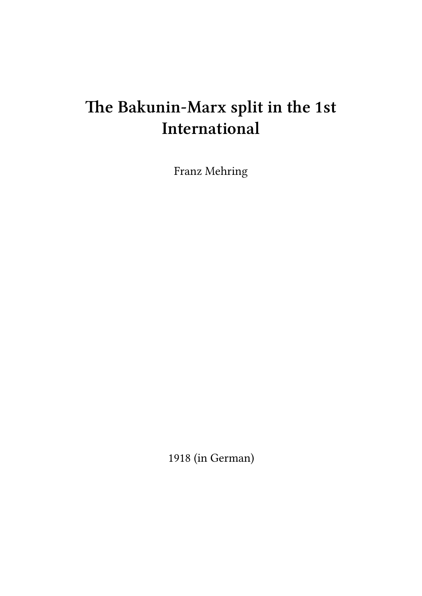# **The Bakunin-Marx split in the 1st International**

Franz Mehring

1918 (in German)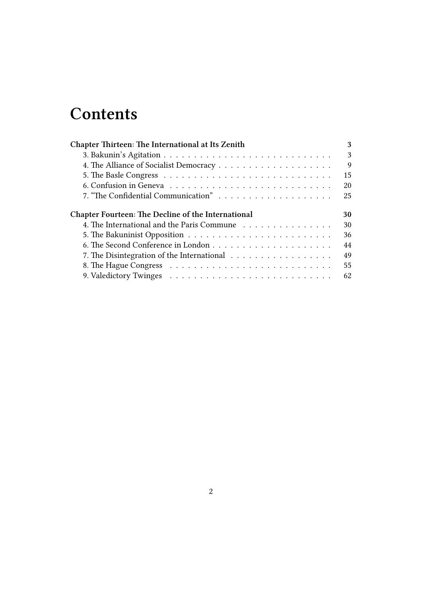## **Contents**

| Chapter Thirteen: The International at Its Zenith         | 3  |
|-----------------------------------------------------------|----|
|                                                           | 3  |
|                                                           | 9  |
|                                                           | 15 |
|                                                           | 20 |
|                                                           | 25 |
| <b>Chapter Fourteen: The Decline of the International</b> | 30 |
| 4. The International and the Paris Commune                | 30 |
|                                                           |    |
|                                                           | 36 |
|                                                           | 44 |
|                                                           | 49 |
|                                                           | 55 |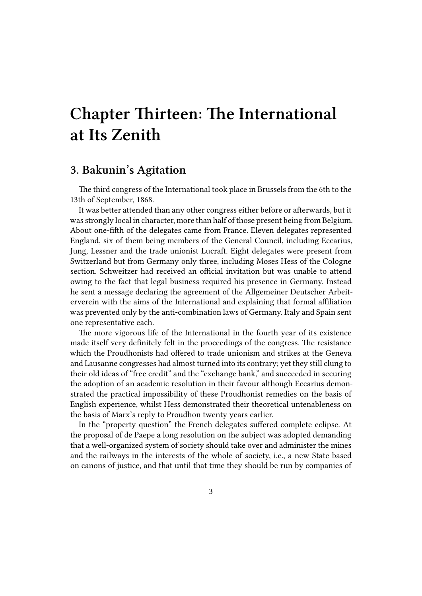## <span id="page-2-0"></span>**Chapter Thirteen: The International at Its Zenith**

### <span id="page-2-1"></span>**3. Bakunin's Agitation**

The third congress of the International took place in Brussels from the 6th to the 13th of September, 1868.

It was better attended than any other congress either before or afterwards, but it was strongly local in character, more than half of those present being from Belgium. About one-fifth of the delegates came from France. Eleven delegates represented England, six of them being members of the General Council, including Eccarius, Jung, Lessner and the trade unionist Lucraft. Eight delegates were present from Switzerland but from Germany only three, including Moses Hess of the Cologne section. Schweitzer had received an official invitation but was unable to attend owing to the fact that legal business required his presence in Germany. Instead he sent a message declaring the agreement of the Allgemeiner Deutscher Arbeiterverein with the aims of the International and explaining that formal affiliation was prevented only by the anti-combination laws of Germany. Italy and Spain sent one representative each.

The more vigorous life of the International in the fourth year of its existence made itself very definitely felt in the proceedings of the congress. The resistance which the Proudhonists had offered to trade unionism and strikes at the Geneva and Lausanne congresses had almost turned into its contrary; yet they still clung to their old ideas of "free credit" and the "exchange bank," and succeeded in securing the adoption of an academic resolution in their favour although Eccarius demonstrated the practical impossibility of these Proudhonist remedies on the basis of English experience, whilst Hess demonstrated their theoretical untenableness on the basis of Marx's reply to Proudhon twenty years earlier.

In the "property question" the French delegates suffered complete eclipse. At the proposal of de Paepe a long resolution on the subject was adopted demanding that a well-organized system of society should take over and administer the mines and the railways in the interests of the whole of society, i.e., a new State based on canons of justice, and that until that time they should be run by companies of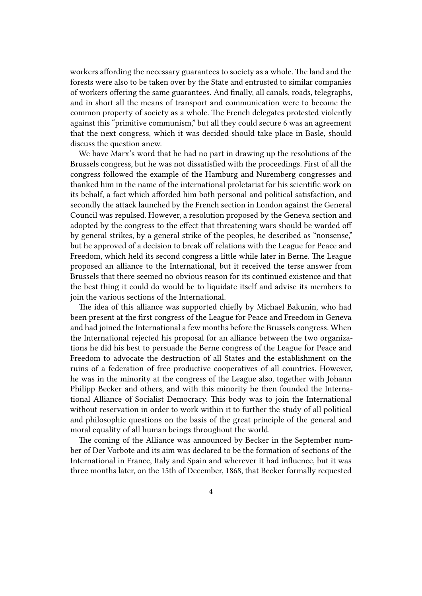workers affording the necessary guarantees to society as a whole. The land and the forests were also to be taken over by the State and entrusted to similar companies of workers offering the same guarantees. And finally, all canals, roads, telegraphs, and in short all the means of transport and communication were to become the common property of society as a whole. The French delegates protested violently against this "primitive communism," but all they could secure 6 was an agreement that the next congress, which it was decided should take place in Basle, should discuss the question anew.

We have Marx's word that he had no part in drawing up the resolutions of the Brussels congress, but he was not dissatisfied with the proceedings. First of all the congress followed the example of the Hamburg and Nuremberg congresses and thanked him in the name of the international proletariat for his scientific work on its behalf, a fact which afforded him both personal and political satisfaction, and secondly the attack launched by the French section in London against the General Council was repulsed. However, a resolution proposed by the Geneva section and adopted by the congress to the effect that threatening wars should be warded off by general strikes, by a general strike of the peoples, he described as "nonsense," but he approved of a decision to break off relations with the League for Peace and Freedom, which held its second congress a little while later in Berne. The League proposed an alliance to the International, but it received the terse answer from Brussels that there seemed no obvious reason for its continued existence and that the best thing it could do would be to liquidate itself and advise its members to join the various sections of the International.

The idea of this alliance was supported chiefly by Michael Bakunin, who had been present at the first congress of the League for Peace and Freedom in Geneva and had joined the International a few months before the Brussels congress. When the International rejected his proposal for an alliance between the two organizations he did his best to persuade the Berne congress of the League for Peace and Freedom to advocate the destruction of all States and the establishment on the ruins of a federation of free productive cooperatives of all countries. However, he was in the minority at the congress of the League also, together with Johann Philipp Becker and others, and with this minority he then founded the International Alliance of Socialist Democracy. This body was to join the International without reservation in order to work within it to further the study of all political and philosophic questions on the basis of the great principle of the general and moral equality of all human beings throughout the world.

The coming of the Alliance was announced by Becker in the September number of Der Vorbote and its aim was declared to be the formation of sections of the International in France, Italy and Spain and wherever it had influence, but it was three months later, on the 15th of December, 1868, that Becker formally requested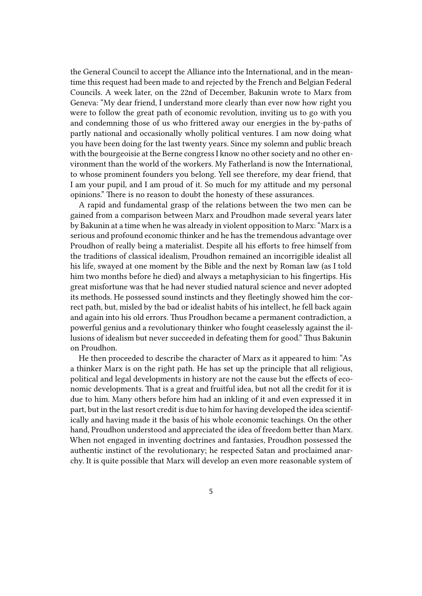the General Council to accept the Alliance into the International, and in the meantime this request had been made to and rejected by the French and Belgian Federal Councils. A week later, on the 22nd of December, Bakunin wrote to Marx from Geneva: "My dear friend, I understand more clearly than ever now how right you were to follow the great path of economic revolution, inviting us to go with you and condemning those of us who frittered away our energies in the by-paths of partly national and occasionally wholly political ventures. I am now doing what you have been doing for the last twenty years. Since my solemn and public breach with the bourgeoisie at the Berne congress I know no other society and no other environment than the world of the workers. My Fatherland is now the International, to whose prominent founders you belong. Yell see therefore, my dear friend, that I am your pupil, and I am proud of it. So much for my attitude and my personal opinions." There is no reason to doubt the honesty of these assurances.

A rapid and fundamental grasp of the relations between the two men can be gained from a comparison between Marx and Proudhon made several years later by Bakunin at a time when he was already in violent opposition to Marx: "Marx is a serious and profound economic thinker and he has the tremendous advantage over Proudhon of really being a materialist. Despite all his efforts to free himself from the traditions of classical idealism, Proudhon remained an incorrigible idealist all his life, swayed at one moment by the Bible and the next by Roman law (as I told him two months before he died) and always a metaphysician to his fingertips. His great misfortune was that he had never studied natural science and never adopted its methods. He possessed sound instincts and they fleetingly showed him the correct path, but, misled by the bad or idealist habits of his intellect, he fell back again and again into his old errors. Thus Proudhon became a permanent contradiction, a powerful genius and a revolutionary thinker who fought ceaselessly against the illusions of idealism but never succeeded in defeating them for good." Thus Bakunin on Proudhon.

He then proceeded to describe the character of Marx as it appeared to him: "As a thinker Marx is on the right path. He has set up the principle that all religious, political and legal developments in history are not the cause but the effects of economic developments. That is a great and fruitful idea, but not all the credit for it is due to him. Many others before him had an inkling of it and even expressed it in part, but in the last resort credit is due to him for having developed the idea scientifically and having made it the basis of his whole economic teachings. On the other hand, Proudhon understood and appreciated the idea of freedom better than Marx. When not engaged in inventing doctrines and fantasies, Proudhon possessed the authentic instinct of the revolutionary; he respected Satan and proclaimed anarchy. It is quite possible that Marx will develop an even more reasonable system of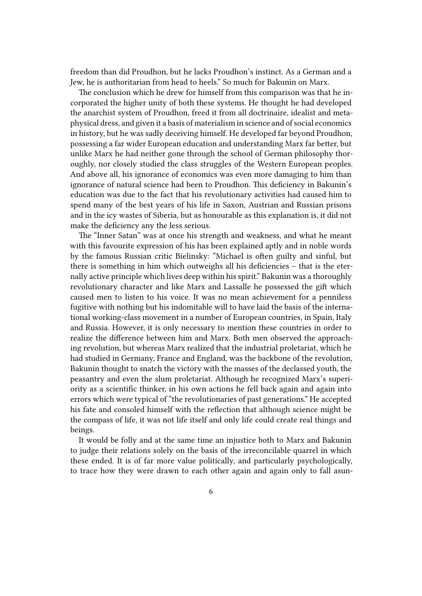freedom than did Proudhon, but he lacks Proudhon's instinct. As a German and a Jew, he is authoritarian from head to heels." So much for Bakunin on Marx.

The conclusion which he drew for himself from this comparison was that he incorporated the higher unity of both these systems. He thought he had developed the anarchist system of Proudhon, freed it from all doctrinaire, idealist and metaphysical dress, and given it a basis of materialism in science and of social economics in history, but he was sadly deceiving himself. He developed far beyond Proudhon, possessing a far wider European education and understanding Marx far better, but unlike Marx he had neither gone through the school of German philosophy thoroughly, nor closely studied the class struggles of the Western European peoples. And above all, his ignorance of economics was even more damaging to him than ignorance of natural science had been to Proudhon. This deficiency in Bakunin's education was due to the fact that his revolutionary activities had caused him to spend many of the best years of his life in Saxon, Austrian and Russian prisons and in the icy wastes of Siberia, but as honourable as this explanation is, it did not make the deficiency any the less serious.

The "Inner Satan" was at once his strength and weakness, and what he meant with this favourite expression of his has been explained aptly and in noble words by the famous Russian critic Bielinsky: "Michael is often guilty and sinful, but there is something in him which outweighs all his deficiencies – that is the eternally active principle which lives deep within his spirit." Bakunin was a thoroughly revolutionary character and like Marx and Lassalle he possessed the gift which caused men to listen to his voice. It was no mean achievement for a penniless fugitive with nothing but his indomitable will to have laid the basis of the international working-class movement in a number of European countries, in Spain, Italy and Russia. However, it is only necessary to mention these countries in order to realize the difference between him and Marx. Both men observed the approaching revolution, but whereas Marx realized that the industrial proletariat, which he had studied in Germany, France and England, was the backbone of the revolution, Bakunin thought to snatch the victory with the masses of the declassed youth, the peasantry and even the slum proletariat. Although he recognized Marx's superiority as a scientific thinker, in his own actions he fell back again and again into errors which were typical of "the revolutionaries of past generations." He accepted his fate and consoled himself with the reflection that although science might be the compass of life, it was not life itself and only life could create real things and beings.

It would be folly and at the same time an injustice both to Marx and Bakunin to judge their relations solely on the basis of the irreconcilable quarrel in which these ended. It is of far more value politically, and particularly psychologically, to trace how they were drawn to each other again and again only to fall asun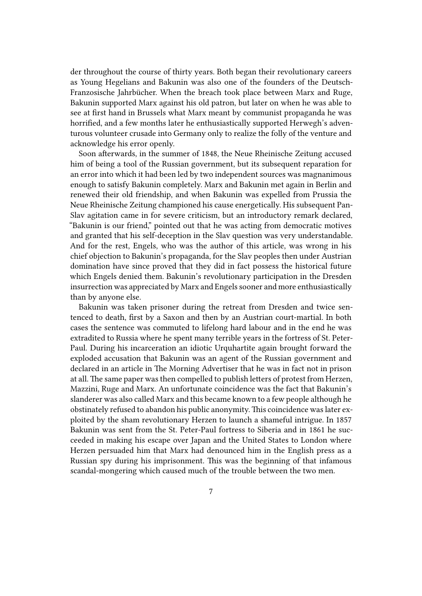der throughout the course of thirty years. Both began their revolutionary careers as Young Hegelians and Bakunin was also one of the founders of the Deutsch-Franzosische Jahrbücher. When the breach took place between Marx and Ruge, Bakunin supported Marx against his old patron, but later on when he was able to see at first hand in Brussels what Marx meant by communist propaganda he was horrified, and a few months later he enthusiastically supported Herwegh's adventurous volunteer crusade into Germany only to realize the folly of the venture and acknowledge his error openly.

Soon afterwards, in the summer of 1848, the Neue Rheinische Zeitung accused him of being a tool of the Russian government, but its subsequent reparation for an error into which it had been led by two independent sources was magnanimous enough to satisfy Bakunin completely. Marx and Bakunin met again in Berlin and renewed their old friendship, and when Bakunin was expelled from Prussia the Neue Rheinische Zeitung championed his cause energetically. His subsequent Pan-Slav agitation came in for severe criticism, but an introductory remark declared, "Bakunin is our friend," pointed out that he was acting from democratic motives and granted that his self-deception in the Slav question was very understandable. And for the rest, Engels, who was the author of this article, was wrong in his chief objection to Bakunin's propaganda, for the Slav peoples then under Austrian domination have since proved that they did in fact possess the historical future which Engels denied them. Bakunin's revolutionary participation in the Dresden insurrection was appreciated by Marx and Engels sooner and more enthusiastically than by anyone else.

Bakunin was taken prisoner during the retreat from Dresden and twice sentenced to death, first by a Saxon and then by an Austrian court-martial. In both cases the sentence was commuted to lifelong hard labour and in the end he was extradited to Russia where he spent many terrible years in the fortress of St. Peter-Paul. During his incarceration an idiotic Urquhartite again brought forward the exploded accusation that Bakunin was an agent of the Russian government and declared in an article in The Morning Advertiser that he was in fact not in prison at all. The same paper was then compelled to publish letters of protest from Herzen, Mazzini, Ruge and Marx. An unfortunate coincidence was the fact that Bakunin's slanderer was also called Marx and this became known to a few people although he obstinately refused to abandon his public anonymity. This coincidence was later exploited by the sham revolutionary Herzen to launch a shameful intrigue. In 1857 Bakunin was sent from the St. Peter-Paul fortress to Siberia and in 1861 he succeeded in making his escape over Japan and the United States to London where Herzen persuaded him that Marx had denounced him in the English press as a Russian spy during his imprisonment. This was the beginning of that infamous scandal-mongering which caused much of the trouble between the two men.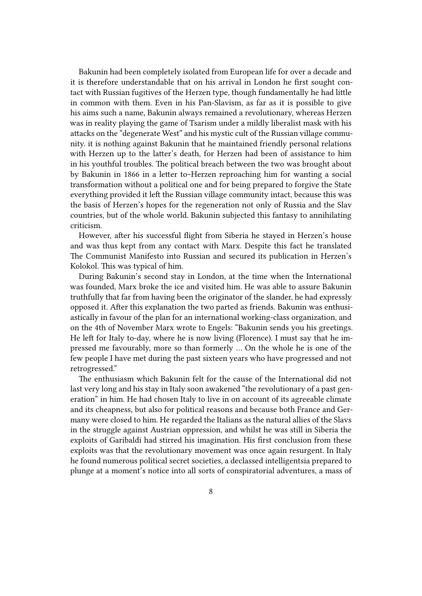Bakunin had been completely isolated from European life for over a decade and it is therefore understandable that on his arrival in London he first sought contact with Russian fugitives of the Herzen type, though fundamentally he had little in common with them. Even in his Pan-Slavism, as far as it is possible to give his aims such a name, Bakunin always remained a revolutionary, whereas Herzen was in reality playing the game of Tsarism under a mildly liberalist mask with his attacks on the "degenerate West" and his mystic cult of the Russian village community. it is nothing against Bakunin that he maintained friendly personal relations with Herzen up to the latter's death, for Herzen had been of assistance to him in his youthful troubles. The political breach between the two was brought about by Bakunin in 1866 in a letter to~Herzen reproaching him for wanting a social transformation without a political one and for being prepared to forgive the State everything provided it left the Russian village community intact, because this was the basis of Herzen's hopes for the regeneration not only of Russia and the Slav countries, but of the whole world. Bakunin subjected this fantasy to annihilating criticism.

However, after his successful flight from Siberia he stayed in Herzen's house and was thus kept from any contact with Marx. Despite this fact he translated The Communist Manifesto into Russian and secured its publication in Herzen's Kolokol. This was typical of him.

During Bakunin's second stay in London, at the time when the International was founded, Marx broke the ice and visited him. He was able to assure Bakunin truthfully that far from having been the originator of the slander, he had expressly opposed it. After this explanation the two parted as friends. Bakunin was enthusiastically in favour of the plan for an international working-class organization, and on the 4th of November Marx wrote to Engels: "Bakunin sends you his greetings. He left for Italy to-day, where he is now living (Florence). I must say that he impressed me favourably, more so than formerly … On the whole he is one of the few people I have met during the past sixteen years who have progressed and not retrogressed."

The enthusiasm which Bakunin felt for the cause of the International did not last very long and his stay in Italy soon awakened "the revolutionary of a past generation" in him. He had chosen Italy to live in on account of its agreeable climate and its cheapness, but also for political reasons and because both France and Germany were closed to him. He regarded the Italians as the natural allies of the Slavs in the struggle against Austrian oppression, and whilst he was still in Siberia the exploits of Garibaldi had stirred his imagination. His first conclusion from these exploits was that the revolutionary movement was once again resurgent. In Italy he found numerous political secret societies, a declassed intelligentsia prepared to plunge at a moment's notice into all sorts of conspiratorial adventures, a mass of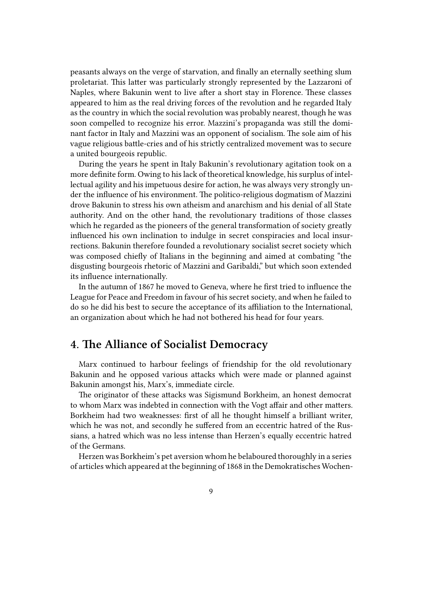peasants always on the verge of starvation, and finally an eternally seething slum proletariat. This latter was particularly strongly represented by the Lazzaroni of Naples, where Bakunin went to live after a short stay in Florence. These classes appeared to him as the real driving forces of the revolution and he regarded Italy as the country in which the social revolution was probably nearest, though he was soon compelled to recognize his error. Mazzini's propaganda was still the dominant factor in Italy and Mazzini was an opponent of socialism. The sole aim of his vague religious battle-cries and of his strictly centralized movement was to secure a united bourgeois republic.

During the years he spent in Italy Bakunin's revolutionary agitation took on a more definite form. Owing to his lack of theoretical knowledge, his surplus of intellectual agility and his impetuous desire for action, he was always very strongly under the influence of his environment. The politico-religious dogmatism of Mazzini drove Bakunin to stress his own atheism and anarchism and his denial of all State authority. And on the other hand, the revolutionary traditions of those classes which he regarded as the pioneers of the general transformation of society greatly influenced his own inclination to indulge in secret conspiracies and local insurrections. Bakunin therefore founded a revolutionary socialist secret society which was composed chiefly of Italians in the beginning and aimed at combating "the disgusting bourgeois rhetoric of Mazzini and Garibaldi," but which soon extended its influence internationally.

In the autumn of 1867 he moved to Geneva, where he first tried to influence the League for Peace and Freedom in favour of his secret society, and when he failed to do so he did his best to secure the acceptance of its affiliation to the International, an organization about which he had not bothered his head for four years.

### <span id="page-8-0"></span>**4. The Alliance of Socialist Democracy**

Marx continued to harbour feelings of friendship for the old revolutionary Bakunin and he opposed various attacks which were made or planned against Bakunin amongst his, Marx's, immediate circle.

The originator of these attacks was Sigismund Borkheim, an honest democrat to whom Marx was indebted in connection with the Vogt affair and other matters. Borkheim had two weaknesses: first of all he thought himself a brilliant writer, which he was not, and secondly he suffered from an eccentric hatred of the Russians, a hatred which was no less intense than Herzen's equally eccentric hatred of the Germans.

Herzen was Borkheim's pet aversion whom he belaboured thoroughly in a series of articles which appeared at the beginning of 1868 in the Demokratisches Wochen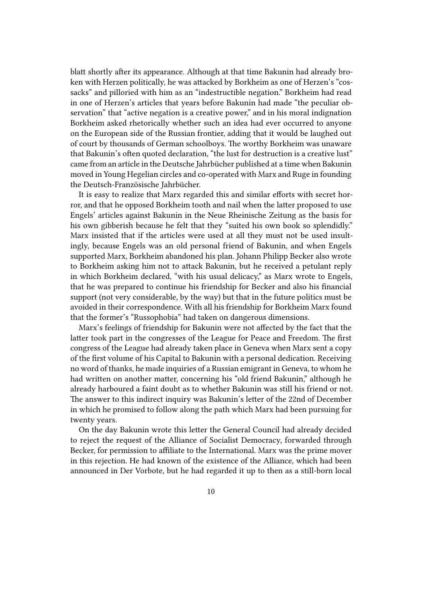blatt shortly after its appearance. Although at that time Bakunin had already broken with Herzen politically, he was attacked by Borkheim as one of Herzen's "cossacks" and pilloried with him as an "indestructible negation." Borkheim had read in one of Herzen's articles that years before Bakunin had made "the peculiar observation" that "active negation is a creative power," and in his moral indignation Borkheim asked rhetorically whether such an idea had ever occurred to anyone on the European side of the Russian frontier, adding that it would be laughed out of court by thousands of German schoolboys. The worthy Borkheim was unaware that Bakunin's often quoted declaration, "the lust for destruction is a creative lust" came from an article in the Deutsche Jahrbücher published at a time when Bakunin moved in Young Hegelian circles and co-operated with Marx and Ruge in founding the Deutsch-Französische Jahrbücher.

It is easy to realize that Marx regarded this and similar efforts with secret horror, and that he opposed Borkheim tooth and nail when the latter proposed to use Engels' articles against Bakunin in the Neue Rheinische Zeitung as the basis for his own gibberish because he felt that they "suited his own book so splendidly." Marx insisted that if the articles were used at all they must not be used insultingly, because Engels was an old personal friend of Bakunin, and when Engels supported Marx, Borkheim abandoned his plan. Johann Philipp Becker also wrote to Borkheim asking him not to attack Bakunin, but he received a petulant reply in which Borkheim declared, "with his usual delicacy," as Marx wrote to Engels, that he was prepared to continue his friendship for Becker and also his financial support (not very considerable, by the way) but that in the future politics must be avoided in their correspondence. With all his friendship for Borkheim Marx found that the former's "Russophobia" had taken on dangerous dimensions.

Marx's feelings of friendship for Bakunin were not affected by the fact that the latter took part in the congresses of the League for Peace and Freedom. The first congress of the League had already taken place in Geneva when Marx sent a copy of the first volume of his Capital to Bakunin with a personal dedication. Receiving no word of thanks, he made inquiries of a Russian emigrant in Geneva, to whom he had written on another matter, concerning his "old friend Bakunin," although he already harboured a faint doubt as to whether Bakunin was still his friend or not. The answer to this indirect inquiry was Bakunin's letter of the 22nd of December in which he promised to follow along the path which Marx had been pursuing for twenty years.

On the day Bakunin wrote this letter the General Council had already decided to reject the request of the Alliance of Socialist Democracy, forwarded through Becker, for permission to affiliate to the International. Marx was the prime mover in this rejection. He had known of the existence of the Alliance, which had been announced in Der Vorbote, but he had regarded it up to then as a still-born local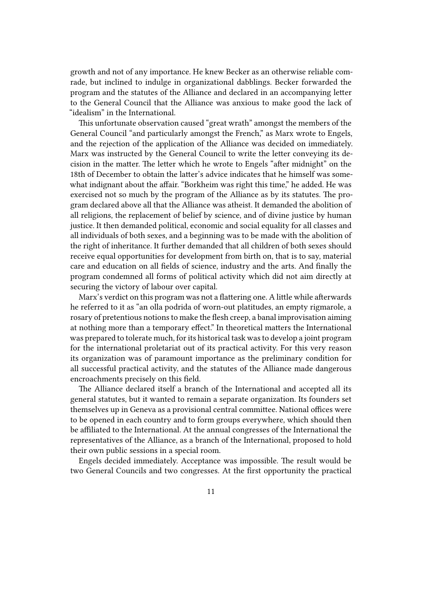growth and not of any importance. He knew Becker as an otherwise reliable comrade, but inclined to indulge in organizational dabblings. Becker forwarded the program and the statutes of the Alliance and declared in an accompanying letter to the General Council that the Alliance was anxious to make good the lack of "idealism" in the International.

This unfortunate observation caused "great wrath" amongst the members of the General Council "and particularly amongst the French," as Marx wrote to Engels, and the rejection of the application of the Alliance was decided on immediately. Marx was instructed by the General Council to write the letter conveying its decision in the matter. The letter which he wrote to Engels "after midnight" on the 18th of December to obtain the latter's advice indicates that he himself was somewhat indignant about the affair. "Borkheim was right this time," he added. He was exercised not so much by the program of the Alliance as by its statutes. The program declared above all that the Alliance was atheist. It demanded the abolition of all religions, the replacement of belief by science, and of divine justice by human justice. It then demanded political, economic and social equality for all classes and all individuals of both sexes, and a beginning was to be made with the abolition of the right of inheritance. It further demanded that all children of both sexes should receive equal opportunities for development from birth on, that is to say, material care and education on all fields of science, industry and the arts. And finally the program condemned all forms of political activity which did not aim directly at securing the victory of labour over capital.

Marx's verdict on this program was not a flattering one. A little while afterwards he referred to it as "an olla podrida of worn-out platitudes, an empty rigmarole, a rosary of pretentious notions to make the flesh creep, a banal improvisation aiming at nothing more than a temporary effect." In theoretical matters the International was prepared to tolerate much, for its historical task was to develop a joint program for the international proletariat out of its practical activity. For this very reason its organization was of paramount importance as the preliminary condition for all successful practical activity, and the statutes of the Alliance made dangerous encroachments precisely on this field.

The Alliance declared itself a branch of the International and accepted all its general statutes, but it wanted to remain a separate organization. Its founders set themselves up in Geneva as a provisional central committee. National offices were to be opened in each country and to form groups everywhere, which should then be affiliated to the International. At the annual congresses of the International the representatives of the Alliance, as a branch of the International, proposed to hold their own public sessions in a special room.

Engels decided immediately. Acceptance was impossible. The result would be two General Councils and two congresses. At the first opportunity the practical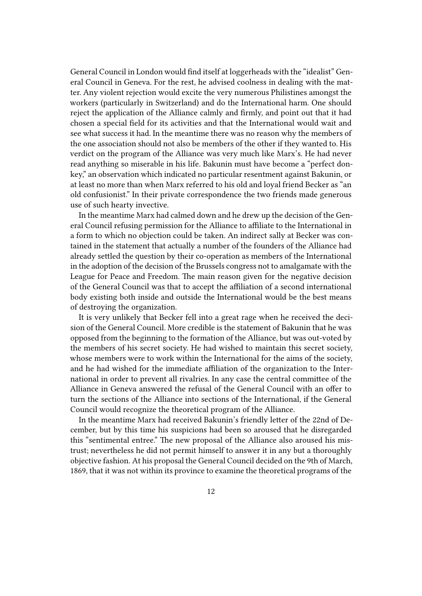General Council in London would find itself at loggerheads with the "idealist" General Council in Geneva. For the rest, he advised coolness in dealing with the matter. Any violent rejection would excite the very numerous Philistines amongst the workers (particularly in Switzerland) and do the International harm. One should reject the application of the Alliance calmly and firmly, and point out that it had chosen a special field for its activities and that the International would wait and see what success it had. In the meantime there was no reason why the members of the one association should not also be members of the other if they wanted to. His verdict on the program of the Alliance was very much like Marx's. He had never read anything so miserable in his life. Bakunin must have become a "perfect donkey," an observation which indicated no particular resentment against Bakunin, or at least no more than when Marx referred to his old and loyal friend Becker as "an old confusionist." In their private correspondence the two friends made generous use of such hearty invective.

In the meantime Marx had calmed down and he drew up the decision of the General Council refusing permission for the Alliance to affiliate to the International in a form to which no objection could be taken. An indirect sally at Becker was contained in the statement that actually a number of the founders of the Alliance had already settled the question by their co-operation as members of the International in the adoption of the decision of the Brussels congress not to amalgamate with the League for Peace and Freedom. The main reason given for the negative decision of the General Council was that to accept the affiliation of a second international body existing both inside and outside the International would be the best means of destroying the organization.

It is very unlikely that Becker fell into a great rage when he received the decision of the General Council. More credible is the statement of Bakunin that he was opposed from the beginning to the formation of the Alliance, but was out-voted by the members of his secret society. He had wished to maintain this secret society, whose members were to work within the International for the aims of the society, and he had wished for the immediate affiliation of the organization to the International in order to prevent all rivalries. In any case the central committee of the Alliance in Geneva answered the refusal of the General Council with an offer to turn the sections of the Alliance into sections of the International, if the General Council would recognize the theoretical program of the Alliance.

In the meantime Marx had received Bakunin's friendly letter of the 22nd of December, but by this time his suspicions had been so aroused that he disregarded this "sentimental entree." The new proposal of the Alliance also aroused his mistrust; nevertheless he did not permit himself to answer it in any but a thoroughly objective fashion. At his proposal the General Council decided on the 9th of March, 1869, that it was not within its province to examine the theoretical programs of the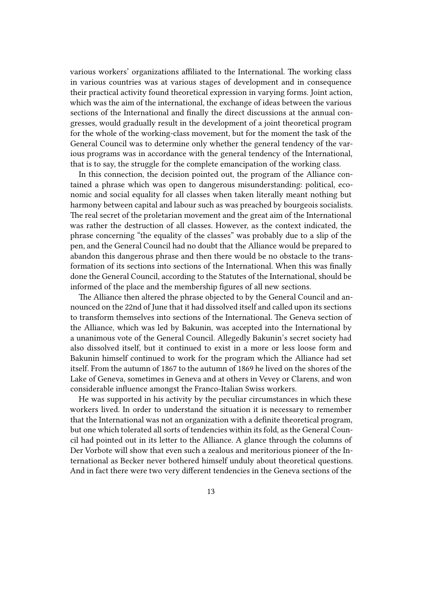various workers' organizations affiliated to the International. The working class in various countries was at various stages of development and in consequence their practical activity found theoretical expression in varying forms. Joint action, which was the aim of the international, the exchange of ideas between the various sections of the International and finally the direct discussions at the annual congresses, would gradually result in the development of a joint theoretical program for the whole of the working-class movement, but for the moment the task of the General Council was to determine only whether the general tendency of the various programs was in accordance with the general tendency of the International, that is to say, the struggle for the complete emancipation of the working class.

In this connection, the decision pointed out, the program of the Alliance contained a phrase which was open to dangerous misunderstanding: political, economic and social equality for all classes when taken literally meant nothing but harmony between capital and labour such as was preached by bourgeois socialists. The real secret of the proletarian movement and the great aim of the International was rather the destruction of all classes. However, as the context indicated, the phrase concerning "the equality of the classes" was probably due to a slip of the pen, and the General Council had no doubt that the Alliance would be prepared to abandon this dangerous phrase and then there would be no obstacle to the transformation of its sections into sections of the International. When this was finally done the General Council, according to the Statutes of the International, should be informed of the place and the membership figures of all new sections.

The Alliance then altered the phrase objected to by the General Council and announced on the 22nd of June that it had dissolved itself and called upon its sections to transform themselves into sections of the International. The Geneva section of the Alliance, which was led by Bakunin, was accepted into the International by a unanimous vote of the General Council. Allegedly Bakunin's secret society had also dissolved itself, but it continued to exist in a more or less loose form and Bakunin himself continued to work for the program which the Alliance had set itself. From the autumn of 1867 to the autumn of 1869 he lived on the shores of the Lake of Geneva, sometimes in Geneva and at others in Vevey or Clarens, and won considerable influence amongst the Franco-Italian Swiss workers.

He was supported in his activity by the peculiar circumstances in which these workers lived. In order to understand the situation it is necessary to remember that the International was not an organization with a definite theoretical program, but one which tolerated all sorts of tendencies within its fold, as the General Council had pointed out in its letter to the Alliance. A glance through the columns of Der Vorbote will show that even such a zealous and meritorious pioneer of the International as Becker never bothered himself unduly about theoretical questions. And in fact there were two very different tendencies in the Geneva sections of the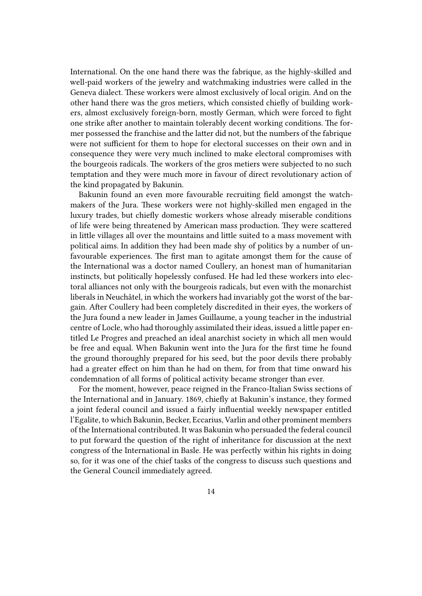International. On the one hand there was the fabrique, as the highly-skilled and well-paid workers of the jewelry and watchmaking industries were called in the Geneva dialect. These workers were almost exclusively of local origin. And on the other hand there was the gros metiers, which consisted chiefly of building workers, almost exclusively foreign-born, mostly German, which were forced to fight one strike after another to maintain tolerably decent working conditions. The former possessed the franchise and the latter did not, but the numbers of the fabrique were not sufficient for them to hope for electoral successes on their own and in consequence they were very much inclined to make electoral compromises with the bourgeois radicals. The workers of the gros metiers were subjected to no such temptation and they were much more in favour of direct revolutionary action of the kind propagated by Bakunin.

Bakunin found an even more favourable recruiting field amongst the watchmakers of the Jura. These workers were not highly-skilled men engaged in the luxury trades, but chiefly domestic workers whose already miserable conditions of life were being threatened by American mass production. They were scattered in little villages all over the mountains and little suited to a mass movement with political aims. In addition they had been made shy of politics by a number of unfavourable experiences. The first man to agitate amongst them for the cause of the International was a doctor named Coullery, an honest man of humanitarian instincts, but politically hopelessly confused. He had led these workers into electoral alliances not only with the bourgeois radicals, but even with the monarchist liberals in Neuchâtel, in which the workers had invariably got the worst of the bargain. After Coullery had been completely discredited in their eyes, the workers of the Jura found a new leader in James Guillaume, a young teacher in the industrial centre of Locle, who had thoroughly assimilated their ideas, issued a little paper entitled Le Progres and preached an ideal anarchist society in which all men would be free and equal. When Bakunin went into the Jura for the first time he found the ground thoroughly prepared for his seed, but the poor devils there probably had a greater effect on him than he had on them, for from that time onward his condemnation of all forms of political activity became stronger than ever.

For the moment, however, peace reigned in the Franco-Italian Swiss sections of the International and in January. 1869, chiefly at Bakunin's instance, they formed a joint federal council and issued a fairly influential weekly newspaper entitled l'Egalite, to which Bakunin, Becker, Eccarius, Varlin and other prominent members of the International contributed. It was Bakunin who persuaded the federal council to put forward the question of the right of inheritance for discussion at the next congress of the International in Basle. He was perfectly within his rights in doing so, for it was one of the chief tasks of the congress to discuss such questions and the General Council immediately agreed.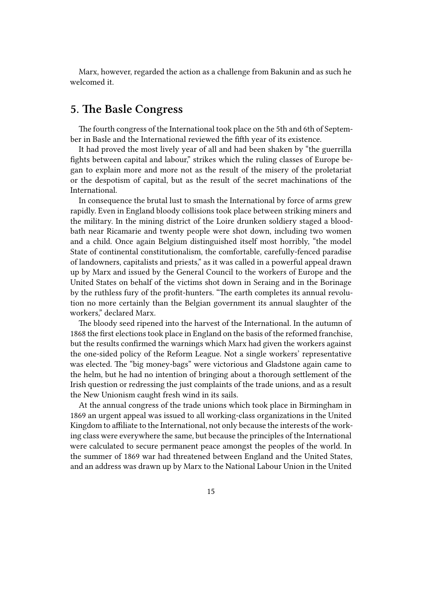Marx, however, regarded the action as a challenge from Bakunin and as such he welcomed it.

### <span id="page-14-0"></span>**5. The Basle Congress**

The fourth congress of the International took place on the 5th and 6th of September in Basle and the International reviewed the fifth year of its existence.

It had proved the most lively year of all and had been shaken by "the guerrilla fights between capital and labour," strikes which the ruling classes of Europe began to explain more and more not as the result of the misery of the proletariat or the despotism of capital, but as the result of the secret machinations of the International.

In consequence the brutal lust to smash the International by force of arms grew rapidly. Even in England bloody collisions took place between striking miners and the military. In the mining district of the Loire drunken soldiery staged a bloodbath near Ricamarie and twenty people were shot down, including two women and a child. Once again Belgium distinguished itself most horribly, "the model State of continental constitutionalism, the comfortable, carefully-fenced paradise of landowners, capitalists and priests," as it was called in a powerful appeal drawn up by Marx and issued by the General Council to the workers of Europe and the United States on behalf of the victims shot down in Seraing and in the Borinage by the ruthless fury of the profit-hunters. "The earth completes its annual revolution no more certainly than the Belgian government its annual slaughter of the workers," declared Marx.

The bloody seed ripened into the harvest of the International. In the autumn of 1868 the first elections took place in England on the basis of the reformed franchise, but the results confirmed the warnings which Marx had given the workers against the one-sided policy of the Reform League. Not a single workers' representative was elected. The "big money-bags" were victorious and Gladstone again came to the helm, but he had no intention of bringing about a thorough settlement of the Irish question or redressing the just complaints of the trade unions, and as a result the New Unionism caught fresh wind in its sails.

At the annual congress of the trade unions which took place in Birmingham in 1869 an urgent appeal was issued to all working-class organizations in the United Kingdom to affiliate to the International, not only because the interests of the working class were everywhere the same, but because the principles of the International were calculated to secure permanent peace amongst the peoples of the world. In the summer of 1869 war had threatened between England and the United States, and an address was drawn up by Marx to the National Labour Union in the United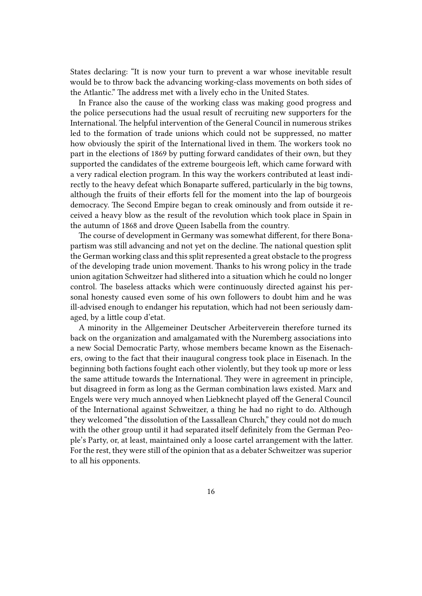States declaring: "It is now your turn to prevent a war whose inevitable result would be to throw back the advancing working-class movements on both sides of the Atlantic." The address met with a lively echo in the United States.

In France also the cause of the working class was making good progress and the police persecutions had the usual result of recruiting new supporters for the International. The helpful intervention of the General Council in numerous strikes led to the formation of trade unions which could not be suppressed, no matter how obviously the spirit of the International lived in them. The workers took no part in the elections of 1869 by putting forward candidates of their own, but they supported the candidates of the extreme bourgeois left, which came forward with a very radical election program. In this way the workers contributed at least indirectly to the heavy defeat which Bonaparte suffered, particularly in the big towns, although the fruits of their efforts fell for the moment into the lap of bourgeois democracy. The Second Empire began to creak ominously and from outside it received a heavy blow as the result of the revolution which took place in Spain in the autumn of 1868 and drove Queen Isabella from the country.

The course of development in Germany was somewhat different, for there Bonapartism was still advancing and not yet on the decline. The national question split the German working class and this split represented a great obstacle to the progress of the developing trade union movement. Thanks to his wrong policy in the trade union agitation Schweitzer had slithered into a situation which he could no longer control. The baseless attacks which were continuously directed against his personal honesty caused even some of his own followers to doubt him and he was ill-advised enough to endanger his reputation, which had not been seriously damaged, by a little coup d'etat.

A minority in the Allgemeiner Deutscher Arbeiterverein therefore turned its back on the organization and amalgamated with the Nuremberg associations into a new Social Democratic Party, whose members became known as the Eisenachers, owing to the fact that their inaugural congress took place in Eisenach. In the beginning both factions fought each other violently, but they took up more or less the same attitude towards the International. They were in agreement in principle, but disagreed in form as long as the German combination laws existed. Marx and Engels were very much annoyed when Liebknecht played off the General Council of the International against Schweitzer, a thing he had no right to do. Although they welcomed "the dissolution of the Lassallean Church," they could not do much with the other group until it had separated itself definitely from the German People's Party, or, at least, maintained only a loose cartel arrangement with the latter. For the rest, they were still of the opinion that as a debater Schweitzer was superior to all his opponents.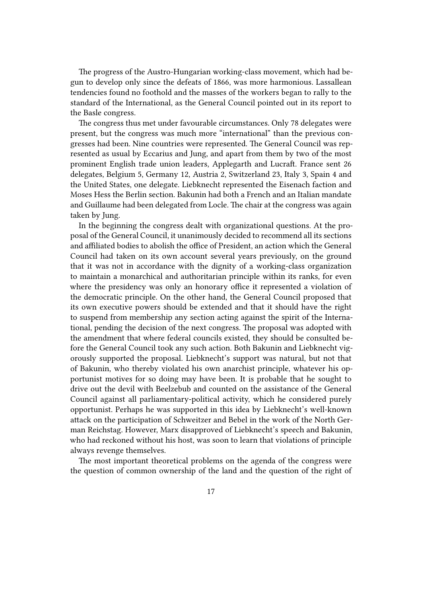The progress of the Austro-Hungarian working-class movement, which had begun to develop only since the defeats of 1866, was more harmonious. Lassallean tendencies found no foothold and the masses of the workers began to rally to the standard of the International, as the General Council pointed out in its report to the Basle congress.

The congress thus met under favourable circumstances. Only 78 delegates were present, but the congress was much more "international" than the previous congresses had been. Nine countries were represented. The General Council was represented as usual by Eccarius and Jung, and apart from them by two of the most prominent English trade union leaders, Applegarth and Lucraft. France sent 26 delegates, Belgium 5, Germany 12, Austria 2, Switzerland 23, Italy 3, Spain 4 and the United States, one delegate. Liebknecht represented the Eisenach faction and Moses Hess the Berlin section. Bakunin had both a French and an Italian mandate and Guillaume had been delegated from Locle. The chair at the congress was again taken by Jung.

In the beginning the congress dealt with organizational questions. At the proposal of the General Council, it unanimously decided to recommend all its sections and affiliated bodies to abolish the office of President, an action which the General Council had taken on its own account several years previously, on the ground that it was not in accordance with the dignity of a working-class organization to maintain a monarchical and authoritarian principle within its ranks, for even where the presidency was only an honorary office it represented a violation of the democratic principle. On the other hand, the General Council proposed that its own executive powers should be extended and that it should have the right to suspend from membership any section acting against the spirit of the International, pending the decision of the next congress. The proposal was adopted with the amendment that where federal councils existed, they should be consulted before the General Council took any such action. Both Bakunin and Liebknecht vigorously supported the proposal. Liebknecht's support was natural, but not that of Bakunin, who thereby violated his own anarchist principle, whatever his opportunist motives for so doing may have been. It is probable that he sought to drive out the devil with Beelzebub and counted on the assistance of the General Council against all parliamentary-political activity, which he considered purely opportunist. Perhaps he was supported in this idea by Liebknecht's well-known attack on the participation of Schweitzer and Bebel in the work of the North German Reichstag. However, Marx disapproved of Liebknecht's speech and Bakunin, who had reckoned without his host, was soon to learn that violations of principle always revenge themselves.

The most important theoretical problems on the agenda of the congress were the question of common ownership of the land and the question of the right of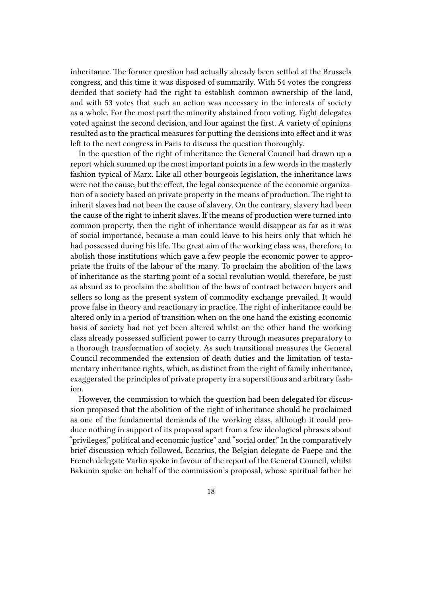inheritance. The former question had actually already been settled at the Brussels congress, and this time it was disposed of summarily. With 54 votes the congress decided that society had the right to establish common ownership of the land, and with 53 votes that such an action was necessary in the interests of society as a whole. For the most part the minority abstained from voting. Eight delegates voted against the second decision, and four against the first. A variety of opinions resulted as to the practical measures for putting the decisions into effect and it was left to the next congress in Paris to discuss the question thoroughly.

In the question of the right of inheritance the General Council had drawn up a report which summed up the most important points in a few words in the masterly fashion typical of Marx. Like all other bourgeois legislation, the inheritance laws were not the cause, but the effect, the legal consequence of the economic organization of a society based on private property in the means of production. The right to inherit slaves had not been the cause of slavery. On the contrary, slavery had been the cause of the right to inherit slaves. If the means of production were turned into common property, then the right of inheritance would disappear as far as it was of social importance, because a man could leave to his heirs only that which he had possessed during his life. The great aim of the working class was, therefore, to abolish those institutions which gave a few people the economic power to appropriate the fruits of the labour of the many. To proclaim the abolition of the laws of inheritance as the starting point of a social revolution would, therefore, be just as absurd as to proclaim the abolition of the laws of contract between buyers and sellers so long as the present system of commodity exchange prevailed. It would prove false in theory and reactionary in practice. The right of inheritance could be altered only in a period of transition when on the one hand the existing economic basis of society had not yet been altered whilst on the other hand the working class already possessed sufficient power to carry through measures preparatory to a thorough transformation of society. As such transitional measures the General Council recommended the extension of death duties and the limitation of testamentary inheritance rights, which, as distinct from the right of family inheritance, exaggerated the principles of private property in a superstitious and arbitrary fashion.

However, the commission to which the question had been delegated for discussion proposed that the abolition of the right of inheritance should be proclaimed as one of the fundamental demands of the working class, although it could produce nothing in support of its proposal apart from a few ideological phrases about "privileges," political and economic justice" and "social order." In the comparatively brief discussion which followed, Eccarius, the Belgian delegate de Paepe and the French delegate Varlin spoke in favour of the report of the General Council, whilst Bakunin spoke on behalf of the commission's proposal, whose spiritual father he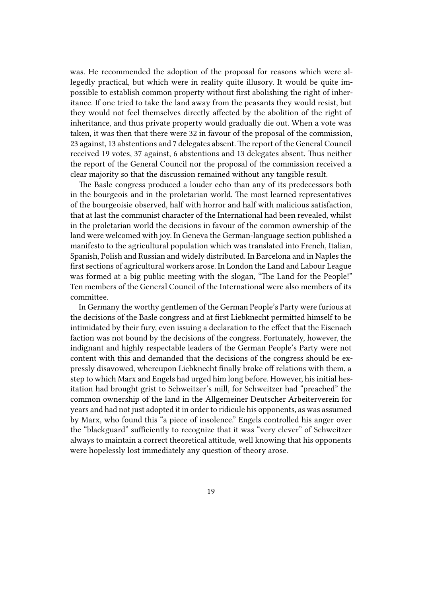was. He recommended the adoption of the proposal for reasons which were allegedly practical, but which were in reality quite illusory. It would be quite impossible to establish common property without first abolishing the right of inheritance. If one tried to take the land away from the peasants they would resist, but they would not feel themselves directly affected by the abolition of the right of inheritance, and thus private property would gradually die out. When a vote was taken, it was then that there were 32 in favour of the proposal of the commission, 23 against, 13 abstentions and 7 delegates absent. The report of the General Council received 19 votes, 37 against, 6 abstentions and 13 delegates absent. Thus neither the report of the General Council nor the proposal of the commission received a clear majority so that the discussion remained without any tangible result.

The Basle congress produced a louder echo than any of its predecessors both in the bourgeois and in the proletarian world. The most learned representatives of the bourgeoisie observed, half with horror and half with malicious satisfaction, that at last the communist character of the International had been revealed, whilst in the proletarian world the decisions in favour of the common ownership of the land were welcomed with joy. In Geneva the German-language section published a manifesto to the agricultural population which was translated into French, Italian, Spanish, Polish and Russian and widely distributed. In Barcelona and in Naples the first sections of agricultural workers arose. In London the Land and Labour League was formed at a big public meeting with the slogan, "The Land for the People!" Ten members of the General Council of the International were also members of its committee.

In Germany the worthy gentlemen of the German People's Party were furious at the decisions of the Basle congress and at first Liebknecht permitted himself to be intimidated by their fury, even issuing a declaration to the effect that the Eisenach faction was not bound by the decisions of the congress. Fortunately, however, the indignant and highly respectable leaders of the German People's Party were not content with this and demanded that the decisions of the congress should be expressly disavowed, whereupon Liebknecht finally broke off relations with them, a step to which Marx and Engels had urged him long before. However, his initial hesitation had brought grist to Schweitzer's mill, for Schweitzer had "preached" the common ownership of the land in the Allgemeiner Deutscher Arbeiterverein for years and had not just adopted it in order to ridicule his opponents, as was assumed by Marx, who found this "a piece of insolence." Engels controlled his anger over the "blackguard" sufficiently to recognize that it was "very clever" of Schweitzer always to maintain a correct theoretical attitude, well knowing that his opponents were hopelessly lost immediately any question of theory arose.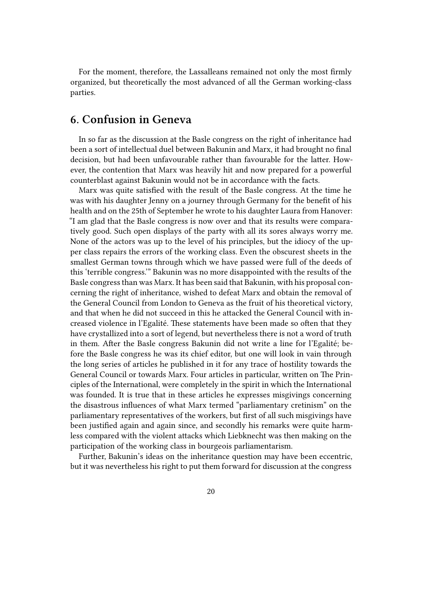For the moment, therefore, the Lassalleans remained not only the most firmly organized, but theoretically the most advanced of all the German working-class parties.

#### <span id="page-19-0"></span>**6. Confusion in Geneva**

In so far as the discussion at the Basle congress on the right of inheritance had been a sort of intellectual duel between Bakunin and Marx, it had brought no final decision, but had been unfavourable rather than favourable for the latter. However, the contention that Marx was heavily hit and now prepared for a powerful counterblast against Bakunin would not be in accordance with the facts.

Marx was quite satisfied with the result of the Basle congress. At the time he was with his daughter Jenny on a journey through Germany for the benefit of his health and on the 25th of September he wrote to his daughter Laura from Hanover: "I am glad that the Basle congress is now over and that its results were comparatively good. Such open displays of the party with all its sores always worry me. None of the actors was up to the level of his principles, but the idiocy of the upper class repairs the errors of the working class. Even the obscurest sheets in the smallest German towns through which we have passed were full of the deeds of this 'terrible congress.'" Bakunin was no more disappointed with the results of the Basle congress than was Marx. It has been said that Bakunin, with his proposal concerning the right of inheritance, wished to defeat Marx and obtain the removal of the General Council from London to Geneva as the fruit of his theoretical victory, and that when he did not succeed in this he attacked the General Council with increased violence in l'Egalité. These statements have been made so often that they have crystallized into a sort of legend, but nevertheless there is not a word of truth in them. After the Basle congress Bakunin did not write a line for l'Egalité; before the Basle congress he was its chief editor, but one will look in vain through the long series of articles he published in it for any trace of hostility towards the General Council or towards Marx. Four articles in particular, written on The Principles of the International, were completely in the spirit in which the International was founded. It is true that in these articles he expresses misgivings concerning the disastrous influences of what Marx termed "parliamentary cretinism" on the parliamentary representatives of the workers, but first of all such misgivings have been justified again and again since, and secondly his remarks were quite harmless compared with the violent attacks which Liebknecht was then making on the participation of the working class in bourgeois parliamentarism.

Further, Bakunin's ideas on the inheritance question may have been eccentric, but it was nevertheless his right to put them forward for discussion at the congress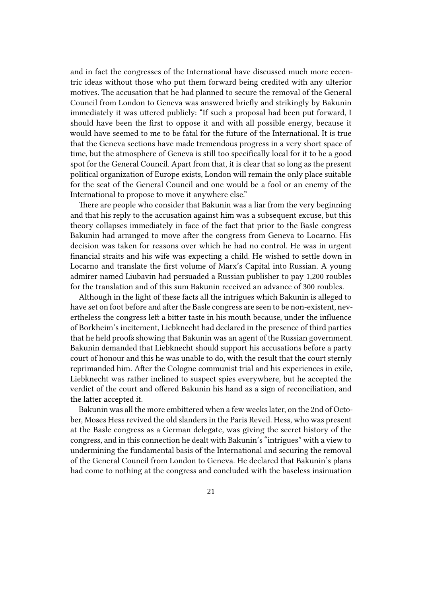and in fact the congresses of the International have discussed much more eccentric ideas without those who put them forward being credited with any ulterior motives. The accusation that he had planned to secure the removal of the General Council from London to Geneva was answered briefly and strikingly by Bakunin immediately it was uttered publicly: "If such a proposal had been put forward, I should have been the first to oppose it and with all possible energy, because it would have seemed to me to be fatal for the future of the International. It is true that the Geneva sections have made tremendous progress in a very short space of time, but the atmosphere of Geneva is still too specifically local for it to be a good spot for the General Council. Apart from that, it is clear that so long as the present political organization of Europe exists, London will remain the only place suitable for the seat of the General Council and one would be a fool or an enemy of the International to propose to move it anywhere else."

There are people who consider that Bakunin was a liar from the very beginning and that his reply to the accusation against him was a subsequent excuse, but this theory collapses immediately in face of the fact that prior to the Basle congress Bakunin had arranged to move after the congress from Geneva to Locarno. His decision was taken for reasons over which he had no control. He was in urgent financial straits and his wife was expecting a child. He wished to settle down in Locarno and translate the first volume of Marx's Capital into Russian. A young admirer named Liubavin had persuaded a Russian publisher to pay 1,200 roubles for the translation and of this sum Bakunin received an advance of 300 roubles.

Although in the light of these facts all the intrigues which Bakunin is alleged to have set on foot before and after the Basle congress are seen to be non-existent, nevertheless the congress left a bitter taste in his mouth because, under the influence of Borkheim's incitement, Liebknecht had declared in the presence of third parties that he held proofs showing that Bakunin was an agent of the Russian government. Bakunin demanded that Liebknecht should support his accusations before a party court of honour and this he was unable to do, with the result that the court sternly reprimanded him. After the Cologne communist trial and his experiences in exile, Liebknecht was rather inclined to suspect spies everywhere, but he accepted the verdict of the court and offered Bakunin his hand as a sign of reconciliation, and the latter accepted it.

Bakunin was all the more embittered when a few weeks later, on the 2nd of October, Moses Hess revived the old slanders in the Paris Reveil. Hess, who was present at the Basle congress as a German delegate, was giving the secret history of the congress, and in this connection he dealt with Bakunin's "intrigues" with a view to undermining the fundamental basis of the International and securing the removal of the General Council from London to Geneva. He declared that Bakunin's plans had come to nothing at the congress and concluded with the baseless insinuation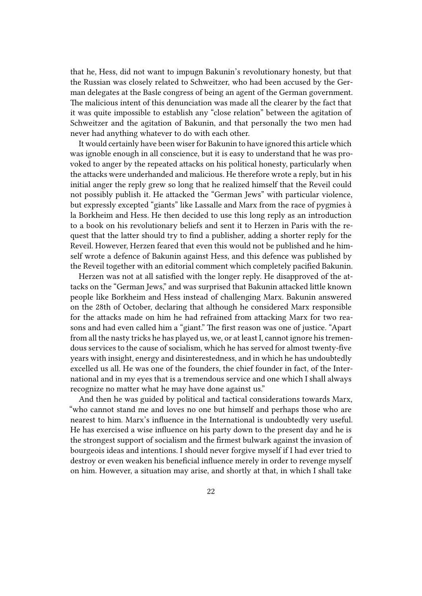that he, Hess, did not want to impugn Bakunin's revolutionary honesty, but that the Russian was closely related to Schweitzer, who had been accused by the German delegates at the Basle congress of being an agent of the German government. The malicious intent of this denunciation was made all the clearer by the fact that it was quite impossible to establish any "close relation" between the agitation of Schweitzer and the agitation of Bakunin, and that personally the two men had never had anything whatever to do with each other.

It would certainly have been wiser for Bakunin to have ignored this article which was ignoble enough in all conscience, but it is easy to understand that he was provoked to anger by the repeated attacks on his political honesty, particularly when the attacks were underhanded and malicious. He therefore wrote a reply, but in his initial anger the reply grew so long that he realized himself that the Reveil could not possibly publish it. He attacked the "German Jews" with particular violence, but expressly excepted "giants" like Lassalle and Marx from the race of pygmies à la Borkheim and Hess. He then decided to use this long reply as an introduction to a book on his revolutionary beliefs and sent it to Herzen in Paris with the request that the latter should try to find a publisher, adding a shorter reply for the Reveil. However, Herzen feared that even this would not be published and he himself wrote a defence of Bakunin against Hess, and this defence was published by the Reveil together with an editorial comment which completely pacified Bakunin.

Herzen was not at all satisfied with the longer reply. He disapproved of the attacks on the "German Jews," and was surprised that Bakunin attacked little known people like Borkheim and Hess instead of challenging Marx. Bakunin answered on the 28th of October, declaring that although he considered Marx responsible for the attacks made on him he had refrained from attacking Marx for two reasons and had even called him a "giant." The first reason was one of justice. "Apart from all the nasty tricks he has played us, we, or at least I, cannot ignore his tremendous services to the cause of socialism, which he has served for almost twenty-five years with insight, energy and disinterestedness, and in which he has undoubtedly excelled us all. He was one of the founders, the chief founder in fact, of the International and in my eyes that is a tremendous service and one which I shall always recognize no matter what he may have done against us."

And then he was guided by political and tactical considerations towards Marx, "who cannot stand me and loves no one but himself and perhaps those who are nearest to him. Marx's influence in the International is undoubtedly very useful. He has exercised a wise influence on his party down to the present day and he is the strongest support of socialism and the firmest bulwark against the invasion of bourgeois ideas and intentions. I should never forgive myself if I had ever tried to destroy or even weaken his beneficial influence merely in order to revenge myself on him. However, a situation may arise, and shortly at that, in which I shall take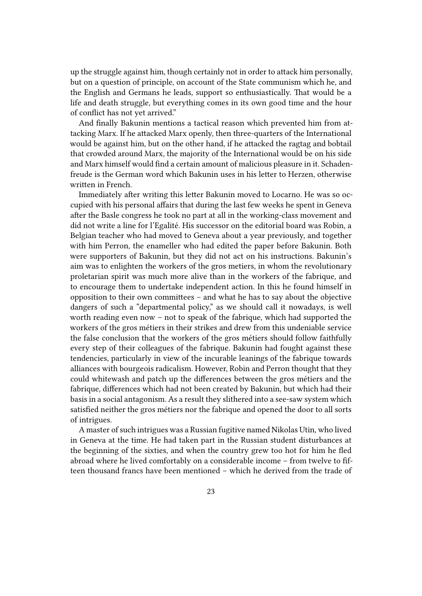up the struggle against him, though certainly not in order to attack him personally, but on a question of principle, on account of the State communism which he, and the English and Germans he leads, support so enthusiastically. That would be a life and death struggle, but everything comes in its own good time and the hour of conflict has not yet arrived."

And finally Bakunin mentions a tactical reason which prevented him from attacking Marx. If he attacked Marx openly, then three-quarters of the International would be against him, but on the other hand, if he attacked the ragtag and bobtail that crowded around Marx, the majority of the International would be on his side and Marx himself would find a certain amount of malicious pleasure in it. Schadenfreude is the German word which Bakunin uses in his letter to Herzen, otherwise written in French.

Immediately after writing this letter Bakunin moved to Locarno. He was so occupied with his personal affairs that during the last few weeks he spent in Geneva after the Basle congress he took no part at all in the working-class movement and did not write a line for l'Egalité. His successor on the editorial board was Robin, a Belgian teacher who had moved to Geneva about a year previously, and together with him Perron, the enameller who had edited the paper before Bakunin. Both were supporters of Bakunin, but they did not act on his instructions. Bakunin's aim was to enlighten the workers of the gros metiers, in whom the revolutionary proletarian spirit was much more alive than in the workers of the fabrique, and to encourage them to undertake independent action. In this he found himself in opposition to their own committees – and what he has to say about the objective dangers of such a "departmental policy," as we should call it nowadays, is well worth reading even now – not to speak of the fabrique, which had supported the workers of the gros métiers in their strikes and drew from this undeniable service the false conclusion that the workers of the gros métiers should follow faithfully every step of their colleagues of the fabrique. Bakunin had fought against these tendencies, particularly in view of the incurable leanings of the fabrique towards alliances with bourgeois radicalism. However, Robin and Perron thought that they could whitewash and patch up the differences between the gros métiers and the fabrique, differences which had not been created by Bakunin, but which had their basis in a social antagonism. As a result they slithered into a see-saw system which satisfied neither the gros métiers nor the fabrique and opened the door to all sorts of intrigues.

A master of such intrigues was a Russian fugitive named Nikolas Utin, who lived in Geneva at the time. He had taken part in the Russian student disturbances at the beginning of the sixties, and when the country grew too hot for him he fled abroad where he lived comfortably on a considerable income – from twelve to fifteen thousand francs have been mentioned – which he derived from the trade of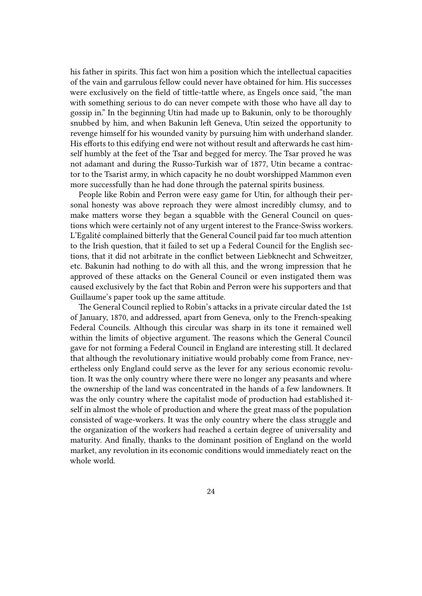his father in spirits. This fact won him a position which the intellectual capacities of the vain and garrulous fellow could never have obtained for him. His successes were exclusively on the field of tittle-tattle where, as Engels once said, "the man with something serious to do can never compete with those who have all day to gossip in." In the beginning Utin had made up to Bakunin, only to be thoroughly snubbed by him, and when Bakunin left Geneva, Utin seized the opportunity to revenge himself for his wounded vanity by pursuing him with underhand slander. His efforts to this edifying end were not without result and afterwards he cast himself humbly at the feet of the Tsar and begged for mercy. The Tsar proved he was not adamant and during the Russo-Turkish war of 1877, Utin became a contractor to the Tsarist army, in which capacity he no doubt worshipped Mammon even more successfully than he had done through the paternal spirits business.

People like Robin and Perron were easy game for Utin, for although their personal honesty was above reproach they were almost incredibly clumsy, and to make matters worse they began a squabble with the General Council on questions which were certainly not of any urgent interest to the France-Swiss workers. L'Egalité complained bitterly that the General Council paid far too much attention to the Irish question, that it failed to set up a Federal Council for the English sections, that it did not arbitrate in the conflict between Liebknecht and Schweitzer, etc. Bakunin had nothing to do with all this, and the wrong impression that he approved of these attacks on the General Council or even instigated them was caused exclusively by the fact that Robin and Perron were his supporters and that Guillaume's paper took up the same attitude.

The General Council replied to Robin's attacks in a private circular dated the 1st of January, 1870, and addressed, apart from Geneva, only to the French-speaking Federal Councils. Although this circular was sharp in its tone it remained well within the limits of objective argument. The reasons which the General Council gave for not forming a Federal Council in England are interesting still. It declared that although the revolutionary initiative would probably come from France, nevertheless only England could serve as the lever for any serious economic revolution. It was the only country where there were no longer any peasants and where the ownership of the land was concentrated in the hands of a few landowners. It was the only country where the capitalist mode of production had established itself in almost the whole of production and where the great mass of the population consisted of wage-workers. It was the only country where the class struggle and the organization of the workers had reached a certain degree of universality and maturity. And finally, thanks to the dominant position of England on the world market, any revolution in its economic conditions would immediately react on the whole world.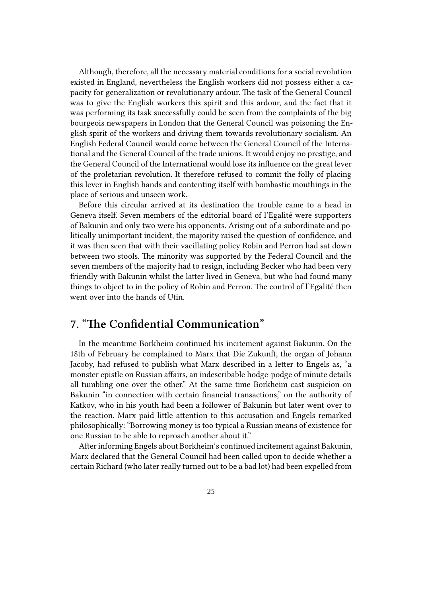Although, therefore, all the necessary material conditions for a social revolution existed in England, nevertheless the English workers did not possess either a capacity for generalization or revolutionary ardour. The task of the General Council was to give the English workers this spirit and this ardour, and the fact that it was performing its task successfully could be seen from the complaints of the big bourgeois newspapers in London that the General Council was poisoning the English spirit of the workers and driving them towards revolutionary socialism. An English Federal Council would come between the General Council of the International and the General Council of the trade unions. It would enjoy no prestige, and the General Council of the International would lose its influence on the great lever of the proletarian revolution. It therefore refused to commit the folly of placing this lever in English hands and contenting itself with bombastic mouthings in the place of serious and unseen work.

Before this circular arrived at its destination the trouble came to a head in Geneva itself. Seven members of the editorial board of l'Egalité were supporters of Bakunin and only two were his opponents. Arising out of a subordinate and politically unimportant incident, the majority raised the question of confidence, and it was then seen that with their vacillating policy Robin and Perron had sat down between two stools. The minority was supported by the Federal Council and the seven members of the majority had to resign, including Becker who had been very friendly with Bakunin whilst the latter lived in Geneva, but who had found many things to object to in the policy of Robin and Perron. The control of l'Egalité then went over into the hands of Utin.

### <span id="page-24-0"></span>**7. "The Confidential Communication"**

In the meantime Borkheim continued his incitement against Bakunin. On the 18th of February he complained to Marx that Die Zukunft, the organ of Johann Jacoby, had refused to publish what Marx described in a letter to Engels as, "a monster epistle on Russian affairs, an indescribable hodge-podge of minute details all tumbling one over the other." At the same time Borkheim cast suspicion on Bakunin "in connection with certain financial transactions," on the authority of Katkov, who in his youth had been a follower of Bakunin but later went over to the reaction. Marx paid little attention to this accusation and Engels remarked philosophically: "Borrowing money is too typical a Russian means of existence for one Russian to be able to reproach another about it."

After informing Engels about Borkheim's continued incitement against Bakunin, Marx declared that the General Council had been called upon to decide whether a certain Richard (who later really turned out to be a bad lot) had been expelled from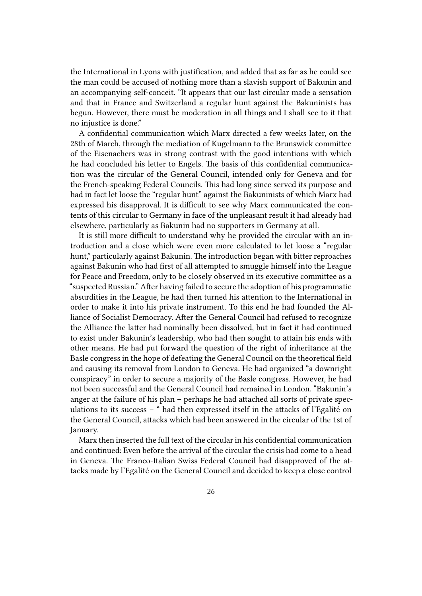the International in Lyons with justification, and added that as far as he could see the man could be accused of nothing more than a slavish support of Bakunin and an accompanying self-conceit. "It appears that our last circular made a sensation and that in France and Switzerland a regular hunt against the Bakuninists has begun. However, there must be moderation in all things and I shall see to it that no injustice is done."

A confidential communication which Marx directed a few weeks later, on the 28th of March, through the mediation of Kugelmann to the Brunswick committee of the Eisenachers was in strong contrast with the good intentions with which he had concluded his letter to Engels. The basis of this confidential communication was the circular of the General Council, intended only for Geneva and for the French-speaking Federal Councils. This had long since served its purpose and had in fact let loose the "regular hunt" against the Bakuninists of which Marx had expressed his disapproval. It is difficult to see why Marx communicated the contents of this circular to Germany in face of the unpleasant result it had already had elsewhere, particularly as Bakunin had no supporters in Germany at all.

It is still more difficult to understand why he provided the circular with an introduction and a close which were even more calculated to let loose a "regular hunt," particularly against Bakunin. The introduction began with bitter reproaches against Bakunin who had first of all attempted to smuggle himself into the League for Peace and Freedom, only to be closely observed in its executive committee as a "suspected Russian." After having failed to secure the adoption of his programmatic absurdities in the League, he had then turned his attention to the International in order to make it into his private instrument. To this end he had founded the Alliance of Socialist Democracy. After the General Council had refused to recognize the Alliance the latter had nominally been dissolved, but in fact it had continued to exist under Bakunin's leadership, who had then sought to attain his ends with other means. He had put forward the question of the right of inheritance at the Basle congress in the hope of defeating the General Council on the theoretical field and causing its removal from London to Geneva. He had organized "a downright conspiracy" in order to secure a majority of the Basle congress. However, he had not been successful and the General Council had remained in London. "Bakunin's anger at the failure of his plan – perhaps he had attached all sorts of private speculations to its success – " had then expressed itself in the attacks of l'Egalité on the General Council, attacks which had been answered in the circular of the 1st of January.

Marx then inserted the full text of the circular in his confidential communication and continued: Even before the arrival of the circular the crisis had come to a head in Geneva. The Franco-Italian Swiss Federal Council had disapproved of the attacks made by l'Egalité on the General Council and decided to keep a close control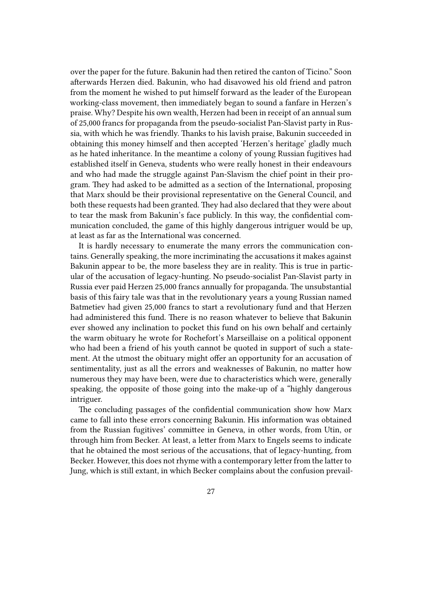over the paper for the future. Bakunin had then retired the canton of Ticino." Soon afterwards Herzen died. Bakunin, who had disavowed his old friend and patron from the moment he wished to put himself forward as the leader of the European working-class movement, then immediately began to sound a fanfare in Herzen's praise. Why? Despite his own wealth, Herzen had been in receipt of an annual sum of 25,000 francs for propaganda from the pseudo-socialist Pan-Slavist party in Russia, with which he was friendly. Thanks to his lavish praise, Bakunin succeeded in obtaining this money himself and then accepted 'Herzen's heritage' gladly much as he hated inheritance. In the meantime a colony of young Russian fugitives had established itself in Geneva, students who were really honest in their endeavours and who had made the struggle against Pan-Slavism the chief point in their program. They had asked to be admitted as a section of the International, proposing that Marx should be their provisional representative on the General Council, and both these requests had been granted. They had also declared that they were about to tear the mask from Bakunin's face publicly. In this way, the confidential communication concluded, the game of this highly dangerous intriguer would be up, at least as far as the International was concerned.

It is hardly necessary to enumerate the many errors the communication contains. Generally speaking, the more incriminating the accusations it makes against Bakunin appear to be, the more baseless they are in reality. This is true in particular of the accusation of legacy-hunting. No pseudo-socialist Pan-Slavist party in Russia ever paid Herzen 25,000 francs annually for propaganda. The unsubstantial basis of this fairy tale was that in the revolutionary years a young Russian named Batmetiev had given 25,000 francs to start a revolutionary fund and that Herzen had administered this fund. There is no reason whatever to believe that Bakunin ever showed any inclination to pocket this fund on his own behalf and certainly the warm obituary he wrote for Rochefort's Marseillaise on a political opponent who had been a friend of his youth cannot be quoted in support of such a statement. At the utmost the obituary might offer an opportunity for an accusation of sentimentality, just as all the errors and weaknesses of Bakunin, no matter how numerous they may have been, were due to characteristics which were, generally speaking, the opposite of those going into the make-up of a "highly dangerous intriguer.

The concluding passages of the confidential communication show how Marx came to fall into these errors concerning Bakunin. His information was obtained from the Russian fugitives' committee in Geneva, in other words, from Utin, or through him from Becker. At least, a letter from Marx to Engels seems to indicate that he obtained the most serious of the accusations, that of legacy-hunting, from Becker. However, this does not rhyme with a contemporary letter from the latter to Jung, which is still extant, in which Becker complains about the confusion prevail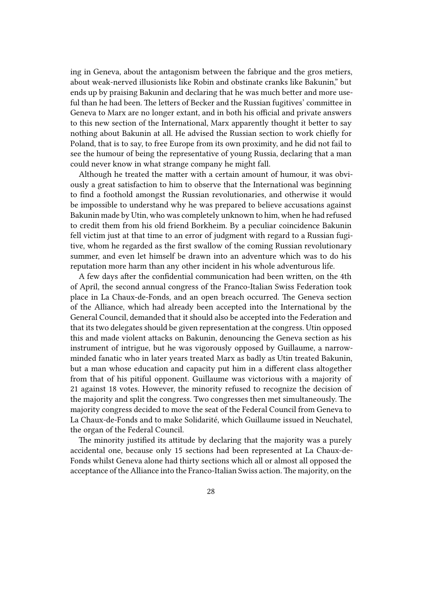ing in Geneva, about the antagonism between the fabrique and the gros metiers, about weak-nerved illusionists like Robin and obstinate cranks like Bakunin," but ends up by praising Bakunin and declaring that he was much better and more useful than he had been. The letters of Becker and the Russian fugitives' committee in Geneva to Marx are no longer extant, and in both his official and private answers to this new section of the International, Marx apparently thought it better to say nothing about Bakunin at all. He advised the Russian section to work chiefly for Poland, that is to say, to free Europe from its own proximity, and he did not fail to see the humour of being the representative of young Russia, declaring that a man could never know in what strange company he might fall.

Although he treated the matter with a certain amount of humour, it was obviously a great satisfaction to him to observe that the International was beginning to find a foothold amongst the Russian revolutionaries, and otherwise it would be impossible to understand why he was prepared to believe accusations against Bakunin made by Utin, who was completely unknown to him, when he had refused to credit them from his old friend Borkheim. By a peculiar coincidence Bakunin fell victim just at that time to an error of judgment with regard to a Russian fugitive, whom he regarded as the first swallow of the coming Russian revolutionary summer, and even let himself be drawn into an adventure which was to do his reputation more harm than any other incident in his whole adventurous life.

A few days after the confidential communication had been written, on the 4th of April, the second annual congress of the Franco-Italian Swiss Federation took place in La Chaux-de-Fonds, and an open breach occurred. The Geneva section of the Alliance, which had already been accepted into the International by the General Council, demanded that it should also be accepted into the Federation and that its two delegates should be given representation at the congress. Utin opposed this and made violent attacks on Bakunin, denouncing the Geneva section as his instrument of intrigue, but he was vigorously opposed by Guillaume, a narrowminded fanatic who in later years treated Marx as badly as Utin treated Bakunin, but a man whose education and capacity put him in a different class altogether from that of his pitiful opponent. Guillaume was victorious with a majority of 21 against 18 votes. However, the minority refused to recognize the decision of the majority and split the congress. Two congresses then met simultaneously. The majority congress decided to move the seat of the Federal Council from Geneva to La Chaux-de-Fonds and to make Solidarité, which Guillaume issued in Neuchatel, the organ of the Federal Council.

The minority justified its attitude by declaring that the majority was a purely accidental one, because only 15 sections had been represented at La Chaux-de-Fonds whilst Geneva alone had thirty sections which all or almost all opposed the acceptance of the Alliance into the Franco-Italian Swiss action.The majority, on the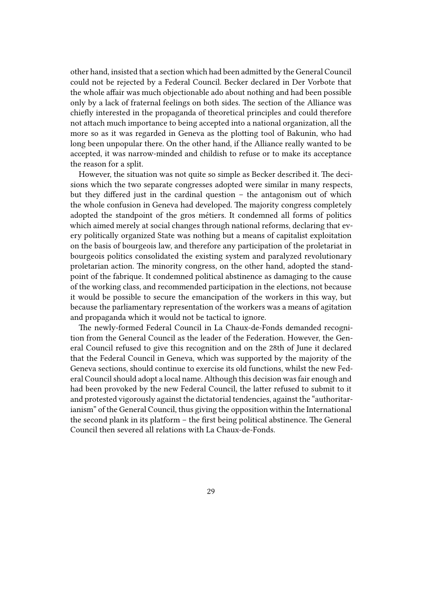other hand, insisted that a section which had been admitted by the General Council could not be rejected by a Federal Council. Becker declared in Der Vorbote that the whole affair was much objectionable ado about nothing and had been possible only by a lack of fraternal feelings on both sides. The section of the Alliance was chiefly interested in the propaganda of theoretical principles and could therefore not attach much importance to being accepted into a national organization, all the more so as it was regarded in Geneva as the plotting tool of Bakunin, who had long been unpopular there. On the other hand, if the Alliance really wanted to be accepted, it was narrow-minded and childish to refuse or to make its acceptance the reason for a split.

However, the situation was not quite so simple as Becker described it. The decisions which the two separate congresses adopted were similar in many respects, but they differed just in the cardinal question – the antagonism out of which the whole confusion in Geneva had developed. The majority congress completely adopted the standpoint of the gros métiers. It condemned all forms of politics which aimed merely at social changes through national reforms, declaring that every politically organized State was nothing but a means of capitalist exploitation on the basis of bourgeois law, and therefore any participation of the proletariat in bourgeois politics consolidated the existing system and paralyzed revolutionary proletarian action. The minority congress, on the other hand, adopted the standpoint of the fabrique. It condemned political abstinence as damaging to the cause of the working class, and recommended participation in the elections, not because it would be possible to secure the emancipation of the workers in this way, but because the parliamentary representation of the workers was a means of agitation and propaganda which it would not be tactical to ignore.

The newly-formed Federal Council in La Chaux-de-Fonds demanded recognition from the General Council as the leader of the Federation. However, the General Council refused to give this recognition and on the 28th of June it declared that the Federal Council in Geneva, which was supported by the majority of the Geneva sections, should continue to exercise its old functions, whilst the new Federal Council should adopt a local name. Although this decision was fair enough and had been provoked by the new Federal Council, the latter refused to submit to it and protested vigorously against the dictatorial tendencies, against the "authoritarianism" of the General Council, thus giving the opposition within the International the second plank in its platform – the first being political abstinence. The General Council then severed all relations with La Chaux-de-Fonds.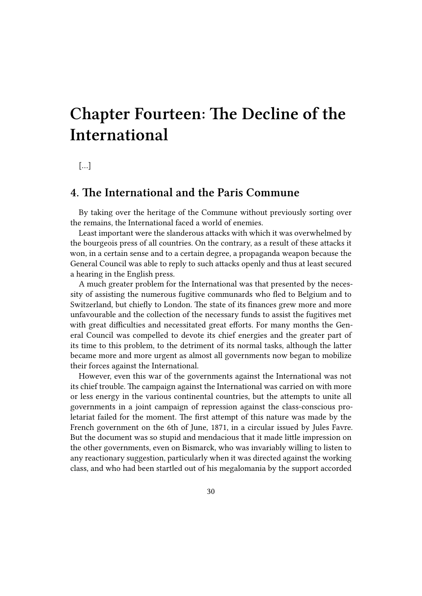## <span id="page-29-0"></span>**Chapter Fourteen: The Decline of the International**

[…]

### <span id="page-29-1"></span>**4. The International and the Paris Commune**

By taking over the heritage of the Commune without previously sorting over the remains, the International faced a world of enemies.

Least important were the slanderous attacks with which it was overwhelmed by the bourgeois press of all countries. On the contrary, as a result of these attacks it won, in a certain sense and to a certain degree, a propaganda weapon because the General Council was able to reply to such attacks openly and thus at least secured a hearing in the English press.

A much greater problem for the International was that presented by the necessity of assisting the numerous fugitive communards who fled to Belgium and to Switzerland, but chiefly to London. The state of its finances grew more and more unfavourable and the collection of the necessary funds to assist the fugitives met with great difficulties and necessitated great efforts. For many months the General Council was compelled to devote its chief energies and the greater part of its time to this problem, to the detriment of its normal tasks, although the latter became more and more urgent as almost all governments now began to mobilize their forces against the International.

However, even this war of the governments against the International was not its chief trouble. The campaign against the International was carried on with more or less energy in the various continental countries, but the attempts to unite all governments in a joint campaign of repression against the class-conscious proletariat failed for the moment. The first attempt of this nature was made by the French government on the 6th of June, 1871, in a circular issued by Jules Favre. But the document was so stupid and mendacious that it made little impression on the other governments, even on Bismarck, who was invariably willing to listen to any reactionary suggestion, particularly when it was directed against the working class, and who had been startled out of his megalomania by the support accorded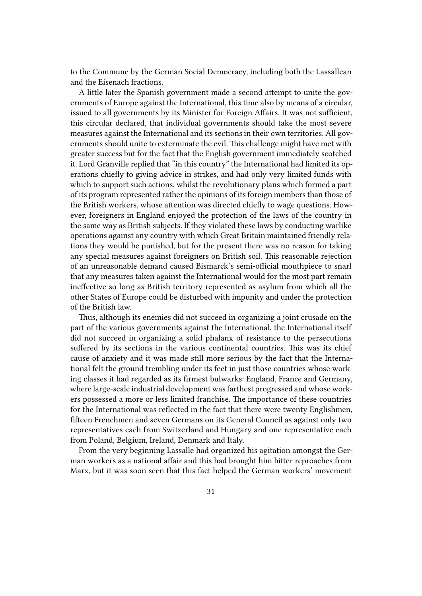to the Commune by the German Social Democracy, including both the Lassallean and the Eisenach fractions.

A little later the Spanish government made a second attempt to unite the governments of Europe against the International, this time also by means of a circular, issued to all governments by its Minister for Foreign Affairs. It was not sufficient, this circular declared, that individual governments should take the most severe measures against the International and its sections in their own territories. All governments should unite to exterminate the evil. This challenge might have met with greater success but for the fact that the English government immediately scotched it. Lord Granville replied that "in this country" the International had limited its operations chiefly to giving advice in strikes, and had only very limited funds with which to support such actions, whilst the revolutionary plans which formed a part of its program represented rather the opinions of its foreign members than those of the British workers, whose attention was directed chiefly to wage questions. However, foreigners in England enjoyed the protection of the laws of the country in the same way as British subjects. If they violated these laws by conducting warlike operations against any country with which Great Britain maintained friendly relations they would be punished, but for the present there was no reason for taking any special measures against foreigners on British soil. This reasonable rejection of an unreasonable demand caused Bismarck's semi-official mouthpiece to snarl that any measures taken against the International would for the most part remain ineffective so long as British territory represented as asylum from which all the other States of Europe could be disturbed with impunity and under the protection of the British law.

Thus, although its enemies did not succeed in organizing a joint crusade on the part of the various governments against the International, the International itself did not succeed in organizing a solid phalanx of resistance to the persecutions suffered by its sections in the various continental countries. This was its chief cause of anxiety and it was made still more serious by the fact that the International felt the ground trembling under its feet in just those countries whose working classes it had regarded as its firmest bulwarks: England, France and Germany, where large-scale industrial development was farthest progressed and whose workers possessed a more or less limited franchise. The importance of these countries for the International was reflected in the fact that there were twenty Englishmen, fifteen Frenchmen and seven Germans on its General Council as against only two representatives each from Switzerland and Hungary and one representative each from Poland, Belgium, Ireland, Denmark and Italy.

From the very beginning Lassalle had organized his agitation amongst the German workers as a national affair and this had brought him bitter reproaches from Marx, but it was soon seen that this fact helped the German workers' movement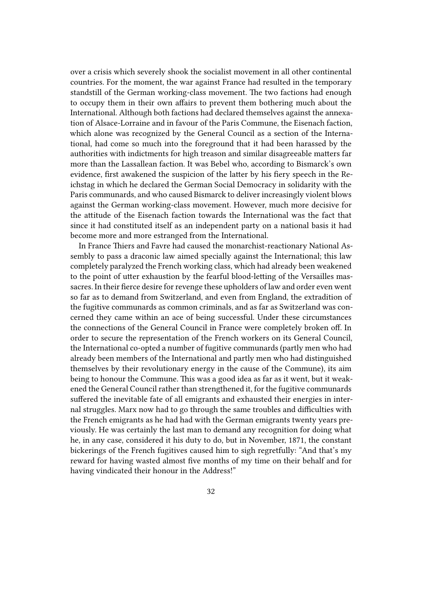over a crisis which severely shook the socialist movement in all other continental countries. For the moment, the war against France had resulted in the temporary standstill of the German working-class movement. The two factions had enough to occupy them in their own affairs to prevent them bothering much about the International. Although both factions had declared themselves against the annexation of Alsace-Lorraine and in favour of the Paris Commune, the Eisenach faction, which alone was recognized by the General Council as a section of the International, had come so much into the foreground that it had been harassed by the authorities with indictments for high treason and similar disagreeable matters far more than the Lassallean faction. It was Bebel who, according to Bismarck's own evidence, first awakened the suspicion of the latter by his fiery speech in the Reichstag in which he declared the German Social Democracy in solidarity with the Paris communards, and who caused Bismarck to deliver increasingly violent blows against the German working-class movement. However, much more decisive for the attitude of the Eisenach faction towards the International was the fact that since it had constituted itself as an independent party on a national basis it had become more and more estranged from the International.

In France Thiers and Favre had caused the monarchist-reactionary National Assembly to pass a draconic law aimed specially against the International; this law completely paralyzed the French working class, which had already been weakened to the point of utter exhaustion by the fearful blood-letting of the Versailles massacres. In their fierce desire for revenge these upholders of law and order even went so far as to demand from Switzerland, and even from England, the extradition of the fugitive communards as common criminals, and as far as Switzerland was concerned they came within an ace of being successful. Under these circumstances the connections of the General Council in France were completely broken off. In order to secure the representation of the French workers on its General Council, the International co-opted a number of fugitive communards (partly men who had already been members of the International and partly men who had distinguished themselves by their revolutionary energy in the cause of the Commune), its aim being to honour the Commune. This was a good idea as far as it went, but it weakened the General Council rather than strengthened it, for the fugitive communards suffered the inevitable fate of all emigrants and exhausted their energies in internal struggles. Marx now had to go through the same troubles and difficulties with the French emigrants as he had had with the German emigrants twenty years previously. He was certainly the last man to demand any recognition for doing what he, in any case, considered it his duty to do, but in November, 1871, the constant bickerings of the French fugitives caused him to sigh regretfully: "And that's my reward for having wasted almost five months of my time on their behalf and for having vindicated their honour in the Address!"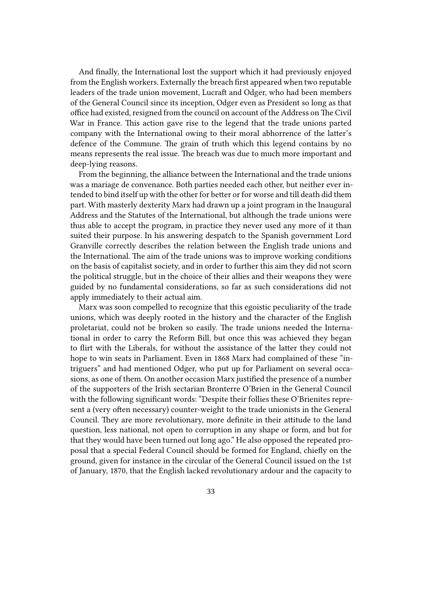And finally, the International lost the support which it had previously enjoyed from the English workers. Externally the breach first appeared when two reputable leaders of the trade union movement, Lucraft and Odger, who had been members of the General Council since its inception, Odger even as President so long as that office had existed, resigned from the council on account of the Address on The Civil War in France. This action gave rise to the legend that the trade unions parted company with the International owing to their moral abhorrence of the latter's defence of the Commune. The grain of truth which this legend contains by no means represents the real issue. The breach was due to much more important and deep-lying reasons.

From the beginning, the alliance between the International and the trade unions was a mariage de convenance. Both parties needed each other, but neither ever intended to bind itself up with the other for better or for worse and till death did them part. With masterly dexterity Marx had drawn up a joint program in the Inaugural Address and the Statutes of the International, but although the trade unions were thus able to accept the program, in practice they never used any more of it than suited their purpose. In his answering despatch to the Spanish government Lord Granville correctly describes the relation between the English trade unions and the International. The aim of the trade unions was to improve working conditions on the basis of capitalist society, and in order to further this aim they did not scorn the political struggle, but in the choice of their allies and their weapons they were guided by no fundamental considerations, so far as such considerations did not apply immediately to their actual aim.

Marx was soon compelled to recognize that this egoistic peculiarity of the trade unions, which was deeply rooted in the history and the character of the English proletariat, could not be broken so easily. The trade unions needed the International in order to carry the Reform Bill, but once this was achieved they began to flirt with the Liberals, for without the assistance of the latter they could not hope to win seats in Parliament. Even in 1868 Marx had complained of these "intriguers" and had mentioned Odger, who put up for Parliament on several occasions, as one of them. On another occasion Marx justified the presence of a number of the supporters of the Irish sectarian Bronterre O'Brien in the General Council with the following significant words: "Despite their follies these O'Brienites represent a (very often necessary) counter-weight to the trade unionists in the General Council. They are more revolutionary, more definite in their attitude to the land question, less national, not open to corruption in any shape or form, and but for that they would have been turned out long ago." He also opposed the repeated proposal that a special Federal Council should be formed for England, chiefly on the ground, given for instance in the circular of the General Council issued on the 1st of January, 1870, that the English lacked revolutionary ardour and the capacity to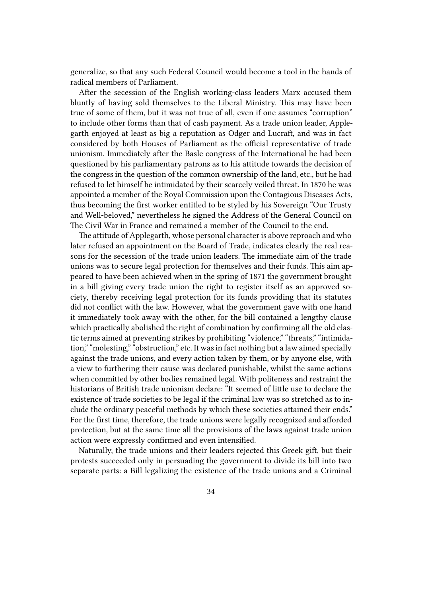generalize, so that any such Federal Council would become a tool in the hands of radical members of Parliament.

After the secession of the English working-class leaders Marx accused them bluntly of having sold themselves to the Liberal Ministry. This may have been true of some of them, but it was not true of all, even if one assumes "corruption" to include other forms than that of cash payment. As a trade union leader, Applegarth enjoyed at least as big a reputation as Odger and Lucraft, and was in fact considered by both Houses of Parliament as the official representative of trade unionism. Immediately after the Basle congress of the International he had been questioned by his parliamentary patrons as to his attitude towards the decision of the congress in the question of the common ownership of the land, etc., but he had refused to let himself be intimidated by their scarcely veiled threat. In 1870 he was appointed a member of the Royal Commission upon the Contagious Diseases Acts, thus becoming the first worker entitled to be styled by his Sovereign "Our Trusty and Well-beloved," nevertheless he signed the Address of the General Council on The Civil War in France and remained a member of the Council to the end.

The attitude of Applegarth, whose personal character is above reproach and who later refused an appointment on the Board of Trade, indicates clearly the real reasons for the secession of the trade union leaders. The immediate aim of the trade unions was to secure legal protection for themselves and their funds. This aim appeared to have been achieved when in the spring of 1871 the government brought in a bill giving every trade union the right to register itself as an approved society, thereby receiving legal protection for its funds providing that its statutes did not conflict with the law. However, what the government gave with one hand it immediately took away with the other, for the bill contained a lengthy clause which practically abolished the right of combination by confirming all the old elastic terms aimed at preventing strikes by prohibiting "violence," "threats," "intimidation," "molesting," "obstruction," etc. It was in fact nothing but a law aimed specially against the trade unions, and every action taken by them, or by anyone else, with a view to furthering their cause was declared punishable, whilst the same actions when committed by other bodies remained legal. With politeness and restraint the historians of British trade unionism declare: "It seemed of little use to declare the existence of trade societies to be legal if the criminal law was so stretched as to include the ordinary peaceful methods by which these societies attained their ends." For the first time, therefore, the trade unions were legally recognized and afforded protection, but at the same time all the provisions of the laws against trade union action were expressly confirmed and even intensified.

Naturally, the trade unions and their leaders rejected this Greek gift, but their protests succeeded only in persuading the government to divide its bill into two separate parts: a Bill legalizing the existence of the trade unions and a Criminal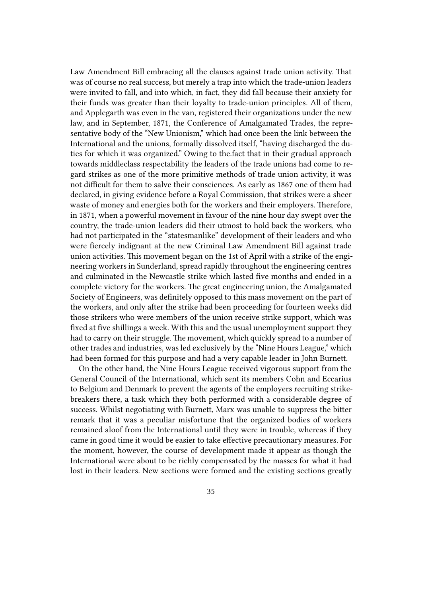Law Amendment Bill embracing all the clauses against trade union activity. That was of course no real success, but merely a trap into which the trade-union leaders were invited to fall, and into which, in fact, they did fall because their anxiety for their funds was greater than their loyalty to trade-union principles. All of them, and Applegarth was even in the van, registered their organizations under the new law, and in September, 1871, the Conference of Amalgamated Trades, the representative body of the "New Unionism," which had once been the link between the International and the unions, formally dissolved itself, "having discharged the duties for which it was organized." Owing to the.fact that in their gradual approach towards middleclass respectability the leaders of the trade unions had come to regard strikes as one of the more primitive methods of trade union activity, it was not difficult for them to salve their consciences. As early as 1867 one of them had declared, in giving evidence before a Royal Commission, that strikes were a sheer waste of money and energies both for the workers and their employers. Therefore, in 1871, when a powerful movement in favour of the nine hour day swept over the country, the trade-union leaders did their utmost to hold back the workers, who had not participated in the "statesmanlike" development of their leaders and who were fiercely indignant at the new Criminal Law Amendment Bill against trade union activities. This movement began on the 1st of April with a strike of the engineering workers in Sunderland, spread rapidly throughout the engineering centres and culminated in the Newcastle strike which lasted five months and ended in a complete victory for the workers. The great engineering union, the Amalgamated Society of Engineers, was definitely opposed to this mass movement on the part of the workers, and only after the strike had been proceeding for fourteen weeks did those strikers who were members of the union receive strike support, which was fixed at five shillings a week. With this and the usual unemployment support they had to carry on their struggle. The movement, which quickly spread to a number of other trades and industries, was led exclusively by the "Nine Hours League," which had been formed for this purpose and had a very capable leader in John Burnett.

On the other hand, the Nine Hours League received vigorous support from the General Council of the International, which sent its members Cohn and Eccarius to Belgium and Denmark to prevent the agents of the employers recruiting strikebreakers there, a task which they both performed with a considerable degree of success. Whilst negotiating with Burnett, Marx was unable to suppress the bitter remark that it was a peculiar misfortune that the organized bodies of workers remained aloof from the International until they were in trouble, whereas if they came in good time it would be easier to take effective precautionary measures. For the moment, however, the course of development made it appear as though the International were about to be richly compensated by the masses for what it had lost in their leaders. New sections were formed and the existing sections greatly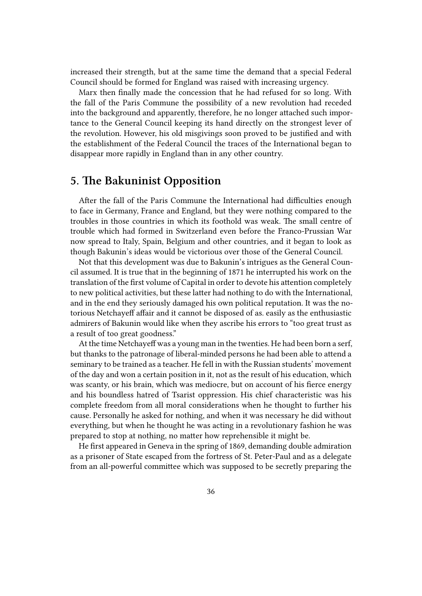increased their strength, but at the same time the demand that a special Federal Council should be formed for England was raised with increasing urgency.

Marx then finally made the concession that he had refused for so long. With the fall of the Paris Commune the possibility of a new revolution had receded into the background and apparently, therefore, he no longer attached such importance to the General Council keeping its hand directly on the strongest lever of the revolution. However, his old misgivings soon proved to be justified and with the establishment of the Federal Council the traces of the International began to disappear more rapidly in England than in any other country.

### <span id="page-35-0"></span>**5. The Bakuninist Opposition**

After the fall of the Paris Commune the International had difficulties enough to face in Germany, France and England, but they were nothing compared to the troubles in those countries in which its foothold was weak. The small centre of trouble which had formed in Switzerland even before the Franco-Prussian War now spread to Italy, Spain, Belgium and other countries, and it began to look as though Bakunin's ideas would be victorious over those of the General Council.

Not that this development was due to Bakunin's intrigues as the General Council assumed. It is true that in the beginning of 1871 he interrupted his work on the translation of the first volume of Capital in order to devote his attention completely to new political activities, but these latter had nothing to do with the International, and in the end they seriously damaged his own political reputation. It was the notorious Netchayeff affair and it cannot be disposed of as. easily as the enthusiastic admirers of Bakunin would like when they ascribe his errors to "too great trust as a result of too great goodness."

At the time Netchayeff was a young man in the twenties. He had been born a serf, but thanks to the patronage of liberal-minded persons he had been able to attend a seminary to be trained as a teacher. He fell in with the Russian students' movement of the day and won a certain position in it, not as the result of his education, which was scanty, or his brain, which was mediocre, but on account of his fierce energy and his boundless hatred of Tsarist oppression. His chief characteristic was his complete freedom from all moral considerations when he thought to further his cause. Personally he asked for nothing, and when it was necessary he did without everything, but when he thought he was acting in a revolutionary fashion he was prepared to stop at nothing, no matter how reprehensible it might be.

He first appeared in Geneva in the spring of 1869, demanding double admiration as a prisoner of State escaped from the fortress of St. Peter-Paul and as a delegate from an all-powerful committee which was supposed to be secretly preparing the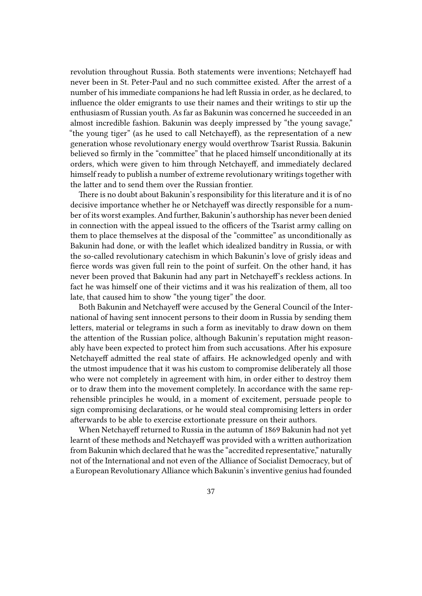revolution throughout Russia. Both statements were inventions; Netchayeff had never been in St. Peter-Paul and no such committee existed. After the arrest of a number of his immediate companions he had left Russia in order, as he declared, to influence the older emigrants to use their names and their writings to stir up the enthusiasm of Russian youth. As far as Bakunin was concerned he succeeded in an almost incredible fashion. Bakunin was deeply impressed by "the young savage," "the young tiger" (as he used to call Netchayeff), as the representation of a new generation whose revolutionary energy would overthrow Tsarist Russia. Bakunin believed so firmly in the "committee" that he placed himself unconditionally at its orders, which were given to him through Netchayeff, and immediately declared himself ready to publish a number of extreme revolutionary writings together with the latter and to send them over the Russian frontier.

There is no doubt about Bakunin's responsibility for this literature and it is of no decisive importance whether he or Netchayeff was directly responsible for a number of its worst examples. And further, Bakunin's authorship has never been denied in connection with the appeal issued to the officers of the Tsarist army calling on them to place themselves at the disposal of the "committee" as unconditionally as Bakunin had done, or with the leaflet which idealized banditry in Russia, or with the so-called revolutionary catechism in which Bakunin's love of grisly ideas and fierce words was given full rein to the point of surfeit. On the other hand, it has never been proved that Bakunin had any part in Netchayeff's reckless actions. In fact he was himself one of their victims and it was his realization of them, all too late, that caused him to show "the young tiger" the door.

Both Bakunin and Netchayeff were accused by the General Council of the International of having sent innocent persons to their doom in Russia by sending them letters, material or telegrams in such a form as inevitably to draw down on them the attention of the Russian police, although Bakunin's reputation might reasonably have been expected to protect him from such accusations. After his exposure Netchayeff admitted the real state of affairs. He acknowledged openly and with the utmost impudence that it was his custom to compromise deliberately all those who were not completely in agreement with him, in order either to destroy them or to draw them into the movement completely. In accordance with the same reprehensible principles he would, in a moment of excitement, persuade people to sign compromising declarations, or he would steal compromising letters in order afterwards to be able to exercise extortionate pressure on their authors.

When Netchayeff returned to Russia in the autumn of 1869 Bakunin had not yet learnt of these methods and Netchayeff was provided with a written authorization from Bakunin which declared that he was the "accredited representative," naturally not of the International and not even of the Alliance of Socialist Democracy, but of a European Revolutionary Alliance which Bakunin's inventive genius had founded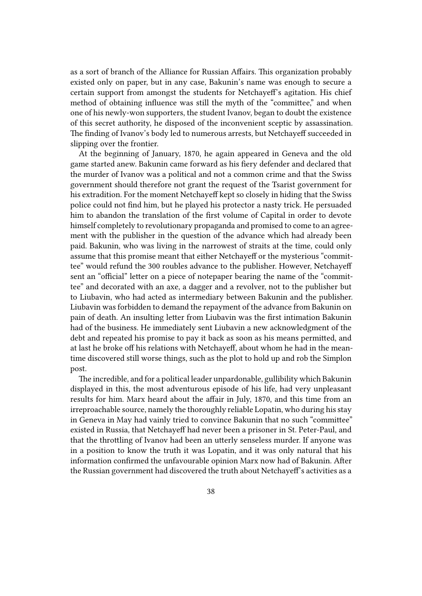as a sort of branch of the Alliance for Russian Affairs. This organization probably existed only on paper, but in any case, Bakunin's name was enough to secure a certain support from amongst the students for Netchayeff's agitation. His chief method of obtaining influence was still the myth of the "committee," and when one of his newly-won supporters, the student Ivanov, began to doubt the existence of this secret authority, he disposed of the inconvenient sceptic by assassination. The finding of Ivanov's body led to numerous arrests, but Netchayeff succeeded in slipping over the frontier.

At the beginning of January, 1870, he again appeared in Geneva and the old game started anew. Bakunin came forward as his fiery defender and declared that the murder of Ivanov was a political and not a common crime and that the Swiss government should therefore not grant the request of the Tsarist government for his extradition. For the moment Netchayeff kept so closely in hiding that the Swiss police could not find him, but he played his protector a nasty trick. He persuaded him to abandon the translation of the first volume of Capital in order to devote himself completely to revolutionary propaganda and promised to come to an agreement with the publisher in the question of the advance which had already been paid. Bakunin, who was living in the narrowest of straits at the time, could only assume that this promise meant that either Netchayeff or the mysterious "committee" would refund the 300 roubles advance to the publisher. However, Netchayeff sent an "official" letter on a piece of notepaper bearing the name of the "committee" and decorated with an axe, a dagger and a revolver, not to the publisher but to Liubavin, who had acted as intermediary between Bakunin and the publisher. Liubavin was forbidden to demand the repayment of the advance from Bakunin on pain of death. An insulting letter from Liubavin was the first intimation Bakunin had of the business. He immediately sent Liubavin a new acknowledgment of the debt and repeated his promise to pay it back as soon as his means permitted, and at last he broke off his relations with Netchayeff, about whom he had in the meantime discovered still worse things, such as the plot to hold up and rob the Simplon post.

The incredible, and for a political leader unpardonable, gullibility which Bakunin displayed in this, the most adventurous episode of his life, had very unpleasant results for him. Marx heard about the affair in July, 1870, and this time from an irreproachable source, namely the thoroughly reliable Lopatin, who during his stay in Geneva in May had vainly tried to convince Bakunin that no such "committee" existed in Russia, that Netchayeff had never been a prisoner in St. Peter-Paul, and that the throttling of Ivanov had been an utterly senseless murder. If anyone was in a position to know the truth it was Lopatin, and it was only natural that his information confirmed the unfavourable opinion Marx now had of Bakunin. After the Russian government had discovered the truth about Netchayeff's activities as a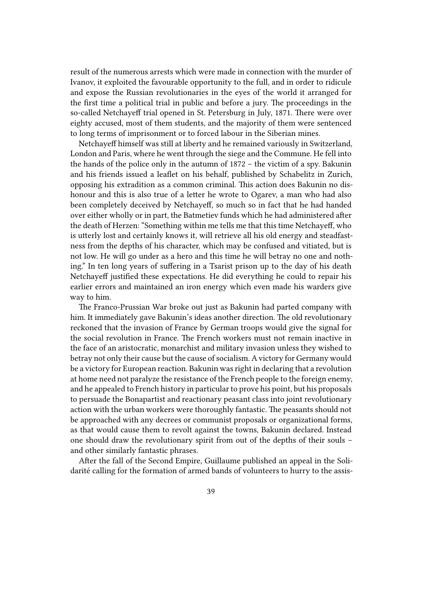result of the numerous arrests which were made in connection with the murder of Ivanov, it exploited the favourable opportunity to the full, and in order to ridicule and expose the Russian revolutionaries in the eyes of the world it arranged for the first time a political trial in public and before a jury. The proceedings in the so-called Netchayeff trial opened in St. Petersburg in July, 1871. There were over eighty accused, most of them students, and the majority of them were sentenced to long terms of imprisonment or to forced labour in the Siberian mines.

Netchayeff himself was still at liberty and he remained variously in Switzerland, London and Paris, where he went through the siege and the Commune. He fell into the hands of the police only in the autumn of 1872 – the victim of a spy. Bakunin and his friends issued a leaflet on his behalf, published by Schabelitz in Zurich, opposing his extradition as a common criminal. This action does Bakunin no dishonour and this is also true of a letter he wrote to Ogarev, a man who had also been completely deceived by Netchayeff, so much so in fact that he had handed over either wholly or in part, the Batmetiev funds which he had administered after the death of Herzen: "Something within me tells me that this time Netchayeff, who is utterly lost and certainly knows it, will retrieve all his old energy and steadfastness from the depths of his character, which may be confused and vitiated, but is not low. He will go under as a hero and this time he will betray no one and nothing." In ten long years of suffering in a Tsarist prison up to the day of his death Netchayeff justified these expectations. He did everything he could to repair his earlier errors and maintained an iron energy which even made his warders give way to him.

The Franco-Prussian War broke out just as Bakunin had parted company with him. It immediately gave Bakunin's ideas another direction. The old revolutionary reckoned that the invasion of France by German troops would give the signal for the social revolution in France. The French workers must not remain inactive in the face of an aristocratic, monarchist and military invasion unless they wished to betray not only their cause but the cause of socialism. A victory for Germany would be a victory for European reaction. Bakunin was right in declaring that a revolution at home need not paralyze the resistance of the French people to the foreign enemy, and he appealed to French history in particular to prove his point, but his proposals to persuade the Bonapartist and reactionary peasant class into joint revolutionary action with the urban workers were thoroughly fantastic. The peasants should not be approached with any decrees or communist proposals or organizational forms, as that would cause them to revolt against the towns, Bakunin declared. Instead one should draw the revolutionary spirit from out of the depths of their souls – and other similarly fantastic phrases.

After the fall of the Second Empire, Guillaume published an appeal in the Solidarité calling for the formation of armed bands of volunteers to hurry to the assis-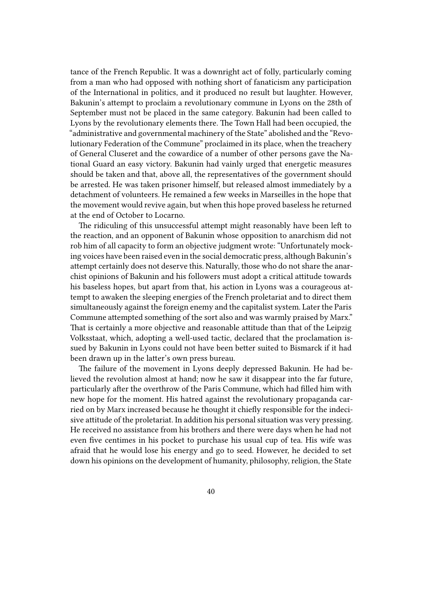tance of the French Republic. It was a downright act of folly, particularly coming from a man who had opposed with nothing short of fanaticism any participation of the International in politics, and it produced no result but laughter. However, Bakunin's attempt to proclaim a revolutionary commune in Lyons on the 28th of September must not be placed in the same category. Bakunin had been called to Lyons by the revolutionary elements there. The Town Hall had been occupied, the "administrative and governmental machinery of the State" abolished and the "Revolutionary Federation of the Commune" proclaimed in its place, when the treachery of General Cluseret and the cowardice of a number of other persons gave the National Guard an easy victory. Bakunin had vainly urged that energetic measures should be taken and that, above all, the representatives of the government should be arrested. He was taken prisoner himself, but released almost immediately by a detachment of volunteers. He remained a few weeks in Marseilles in the hope that the movement would revive again, but when this hope proved baseless he returned at the end of October to Locarno.

The ridiculing of this unsuccessful attempt might reasonably have been left to the reaction, and an opponent of Bakunin whose opposition to anarchism did not rob him of all capacity to form an objective judgment wrote: "Unfortunately mocking voices have been raised even in the social democratic press, although Bakunin's attempt certainly does not deserve this. Naturally, those who do not share the anarchist opinions of Bakunin and his followers must adopt a critical attitude towards his baseless hopes, but apart from that, his action in Lyons was a courageous attempt to awaken the sleeping energies of the French proletariat and to direct them simultaneously against the foreign enemy and the capitalist system. Later the Paris Commune attempted something of the sort also and was warmly praised by Marx." That is certainly a more objective and reasonable attitude than that of the Leipzig Volksstaat, which, adopting a well-used tactic, declared that the proclamation issued by Bakunin in Lyons could not have been better suited to Bismarck if it had been drawn up in the latter's own press bureau.

The failure of the movement in Lyons deeply depressed Bakunin. He had believed the revolution almost at hand; now he saw it disappear into the far future, particularly after the overthrow of the Paris Commune, which had filled him with new hope for the moment. His hatred against the revolutionary propaganda carried on by Marx increased because he thought it chiefly responsible for the indecisive attitude of the proletariat. In addition his personal situation was very pressing. He received no assistance from his brothers and there were days when he had not even five centimes in his pocket to purchase his usual cup of tea. His wife was afraid that he would lose his energy and go to seed. However, he decided to set down his opinions on the development of humanity, philosophy, religion, the State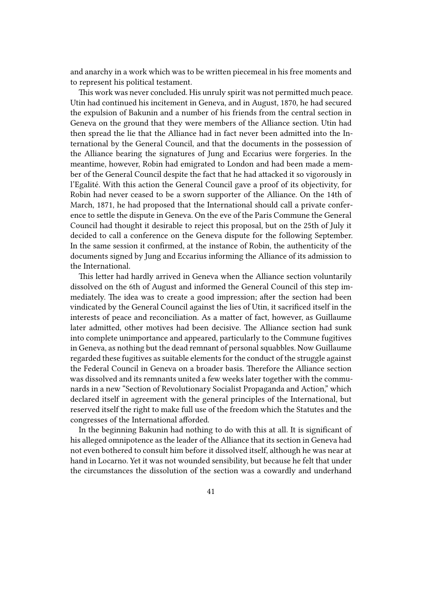and anarchy in a work which was to be written piecemeal in his free moments and to represent his political testament.

This work was never concluded. His unruly spirit was not permitted much peace. Utin had continued his incitement in Geneva, and in August, 1870, he had secured the expulsion of Bakunin and a number of his friends from the central section in Geneva on the ground that they were members of the Alliance section. Utin had then spread the lie that the Alliance had in fact never been admitted into the International by the General Council, and that the documents in the possession of the Alliance bearing the signatures of Jung and Eccarius were forgeries. In the meantime, however, Robin had emigrated to London and had been made a member of the General Council despite the fact that he had attacked it so vigorously in l'Egalité. With this action the General Council gave a proof of its objectivity, for Robin had never ceased to be a sworn supporter of the Alliance. On the 14th of March, 1871, he had proposed that the International should call a private conference to settle the dispute in Geneva. On the eve of the Paris Commune the General Council had thought it desirable to reject this proposal, but on the 25th of July it decided to call a conference on the Geneva dispute for the following September. In the same session it confirmed, at the instance of Robin, the authenticity of the documents signed by Jung and Eccarius informing the Alliance of its admission to the International.

This letter had hardly arrived in Geneva when the Alliance section voluntarily dissolved on the 6th of August and informed the General Council of this step immediately. The idea was to create a good impression; after the section had been vindicated by the General Council against the lies of Utin, it sacrificed itself in the interests of peace and reconciliation. As a matter of fact, however, as Guillaume later admitted, other motives had been decisive. The Alliance section had sunk into complete unimportance and appeared, particularly to the Commune fugitives in Geneva, as nothing but the dead remnant of personal squabbles. Now Guillaume regarded these fugitives as suitable elements for the conduct of the struggle against the Federal Council in Geneva on a broader basis. Therefore the Alliance section was dissolved and its remnants united a few weeks later together with the communards in a new "Section of Revolutionary Socialist Propaganda and Action," which declared itself in agreement with the general principles of the International, but reserved itself the right to make full use of the freedom which the Statutes and the congresses of the International afforded.

In the beginning Bakunin had nothing to do with this at all. It is significant of his alleged omnipotence as the leader of the Alliance that its section in Geneva had not even bothered to consult him before it dissolved itself, although he was near at hand in Locarno. Yet it was not wounded sensibility, but because he felt that under the circumstances the dissolution of the section was a cowardly and underhand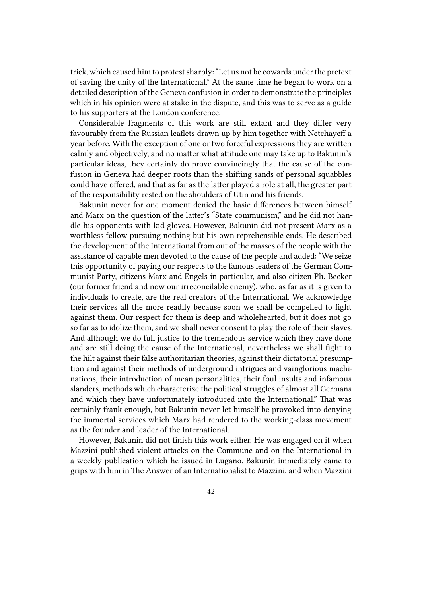trick, which caused him to protest sharply: "Let us not be cowards under the pretext of saving the unity of the International." At the same time he began to work on a detailed description of the Geneva confusion in order to demonstrate the principles which in his opinion were at stake in the dispute, and this was to serve as a guide to his supporters at the London conference.

Considerable fragments of this work are still extant and they differ very favourably from the Russian leaflets drawn up by him together with Netchayeff a year before. With the exception of one or two forceful expressions they are written calmly and objectively, and no matter what attitude one may take up to Bakunin's particular ideas, they certainly do prove convincingly that the cause of the confusion in Geneva had deeper roots than the shifting sands of personal squabbles could have offered, and that as far as the latter played a role at all, the greater part of the responsibility rested on the shoulders of Utin and his friends.

Bakunin never for one moment denied the basic differences between himself and Marx on the question of the latter's "State communism," and he did not handle his opponents with kid gloves. However, Bakunin did not present Marx as a worthless fellow pursuing nothing but his own reprehensible ends. He described the development of the International from out of the masses of the people with the assistance of capable men devoted to the cause of the people and added: "We seize this opportunity of paying our respects to the famous leaders of the German Communist Party, citizens Marx and Engels in particular, and also citizen Ph. Becker (our former friend and now our irreconcilable enemy), who, as far as it is given to individuals to create, are the real creators of the International. We acknowledge their services all the more readily because soon we shall be compelled to fight against them. Our respect for them is deep and wholehearted, but it does not go so far as to idolize them, and we shall never consent to play the role of their slaves. And although we do full justice to the tremendous service which they have done and are still doing the cause of the International, nevertheless we shall fight to the hilt against their false authoritarian theories, against their dictatorial presumption and against their methods of underground intrigues and vainglorious machinations, their introduction of mean personalities, their foul insults and infamous slanders, methods which characterize the political struggles of almost all Germans and which they have unfortunately introduced into the International." That was certainly frank enough, but Bakunin never let himself be provoked into denying the immortal services which Marx had rendered to the working-class movement as the founder and leader of the International.

However, Bakunin did not finish this work either. He was engaged on it when Mazzini published violent attacks on the Commune and on the International in a weekly publication which he issued in Lugano. Bakunin immediately came to grips with him in The Answer of an Internationalist to Mazzini, and when Mazzini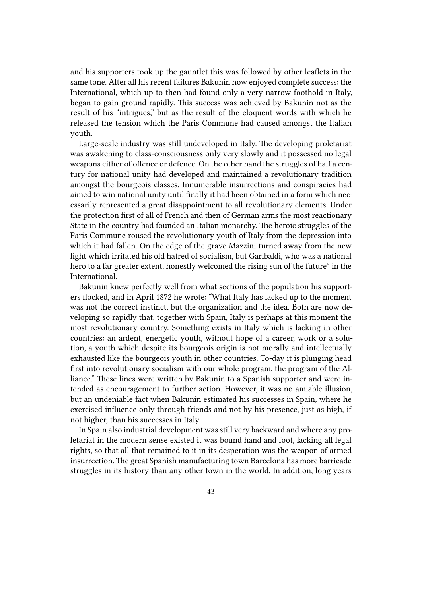and his supporters took up the gauntlet this was followed by other leaflets in the same tone. After all his recent failures Bakunin now enjoyed complete success: the International, which up to then had found only a very narrow foothold in Italy, began to gain ground rapidly. This success was achieved by Bakunin not as the result of his "intrigues," but as the result of the eloquent words with which he released the tension which the Paris Commune had caused amongst the Italian youth.

Large-scale industry was still undeveloped in Italy. The developing proletariat was awakening to class-consciousness only very slowly and it possessed no legal weapons either of offence or defence. On the other hand the struggles of half a century for national unity had developed and maintained a revolutionary tradition amongst the bourgeois classes. Innumerable insurrections and conspiracies had aimed to win national unity until finally it had been obtained in a form which necessarily represented a great disappointment to all revolutionary elements. Under the protection first of all of French and then of German arms the most reactionary State in the country had founded an Italian monarchy. The heroic struggles of the Paris Commune roused the revolutionary youth of Italy from the depression into which it had fallen. On the edge of the grave Mazzini turned away from the new light which irritated his old hatred of socialism, but Garibaldi, who was a national hero to a far greater extent, honestly welcomed the rising sun of the future" in the International.

Bakunin knew perfectly well from what sections of the population his supporters flocked, and in April 1872 he wrote: "What Italy has lacked up to the moment was not the correct instinct, but the organization and the idea. Both are now developing so rapidly that, together with Spain, Italy is perhaps at this moment the most revolutionary country. Something exists in Italy which is lacking in other countries: an ardent, energetic youth, without hope of a career, work or a solution, a youth which despite its bourgeois origin is not morally and intellectually exhausted like the bourgeois youth in other countries. To-day it is plunging head first into revolutionary socialism with our whole program, the program of the Alliance." These lines were written by Bakunin to a Spanish supporter and were intended as encouragement to further action. However, it was no amiable illusion, but an undeniable fact when Bakunin estimated his successes in Spain, where he exercised influence only through friends and not by his presence, just as high, if not higher, than his successes in Italy.

In Spain also industrial development was still very backward and where any proletariat in the modern sense existed it was bound hand and foot, lacking all legal rights, so that all that remained to it in its desperation was the weapon of armed insurrection. The great Spanish manufacturing town Barcelona has more barricade struggles in its history than any other town in the world. In addition, long years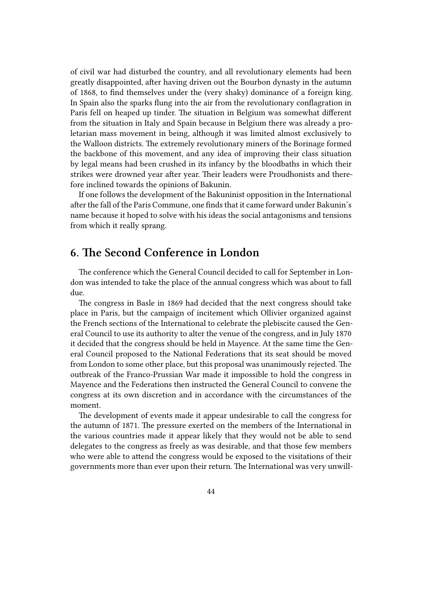of civil war had disturbed the country, and all revolutionary elements had been greatly disappointed, after having driven out the Bourbon dynasty in the autumn of 1868, to find themselves under the (very shaky) dominance of a foreign king. In Spain also the sparks flung into the air from the revolutionary conflagration in Paris fell on heaped up tinder. The situation in Belgium was somewhat different from the situation in Italy and Spain because in Belgium there was already a proletarian mass movement in being, although it was limited almost exclusively to the Walloon districts. The extremely revolutionary miners of the Borinage formed the backbone of this movement, and any idea of improving their class situation by legal means had been crushed in its infancy by the bloodbaths in which their strikes were drowned year after year. Their leaders were Proudhonists and therefore inclined towards the opinions of Bakunin.

If one follows the development of the Bakuninist opposition in the International after the fall of the Paris Commune, one finds that it came forward under Bakunin's name because it hoped to solve with his ideas the social antagonisms and tensions from which it really sprang.

### <span id="page-43-0"></span>**6. The Second Conference in London**

The conference which the General Council decided to call for September in London was intended to take the place of the annual congress which was about to fall due.

The congress in Basle in 1869 had decided that the next congress should take place in Paris, but the campaign of incitement which Ollivier organized against the French sections of the International to celebrate the plebiscite caused the General Council to use its authority to alter the venue of the congress, and in July 1870 it decided that the congress should be held in Mayence. At the same time the General Council proposed to the National Federations that its seat should be moved from London to some other place, but this proposal was unanimously rejected. The outbreak of the Franco-Prussian War made it impossible to hold the congress in Mayence and the Federations then instructed the General Council to convene the congress at its own discretion and in accordance with the circumstances of the moment.

The development of events made it appear undesirable to call the congress for the autumn of 1871. The pressure exerted on the members of the International in the various countries made it appear likely that they would not be able to send delegates to the congress as freely as was desirable, and that those few members who were able to attend the congress would be exposed to the visitations of their governments more than ever upon their return. The International was very unwill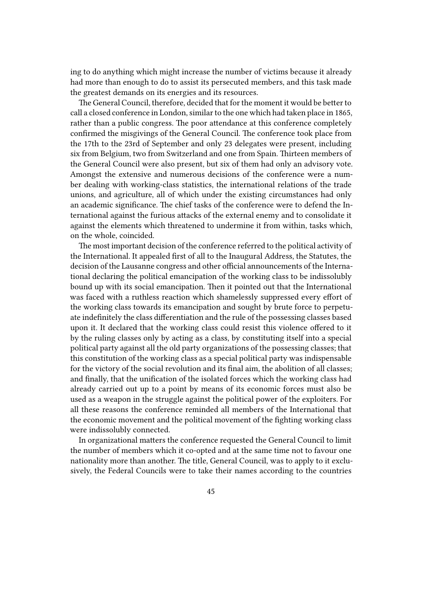ing to do anything which might increase the number of victims because it already had more than enough to do to assist its persecuted members, and this task made the greatest demands on its energies and its resources.

The General Council, therefore, decided that for the moment it would be better to call a closed conference in London, similar to the one which had taken place in 1865, rather than a public congress. The poor attendance at this conference completely confirmed the misgivings of the General Council. The conference took place from the 17th to the 23rd of September and only 23 delegates were present, including six from Belgium, two from Switzerland and one from Spain. Thirteen members of the General Council were also present, but six of them had only an advisory vote. Amongst the extensive and numerous decisions of the conference were a number dealing with working-class statistics, the international relations of the trade unions, and agriculture, all of which under the existing circumstances had only an academic significance. The chief tasks of the conference were to defend the International against the furious attacks of the external enemy and to consolidate it against the elements which threatened to undermine it from within, tasks which, on the whole, coincided.

The most important decision of the conference referred to the political activity of the International. It appealed first of all to the Inaugural Address, the Statutes, the decision of the Lausanne congress and other official announcements of the International declaring the political emancipation of the working class to be indissolubly bound up with its social emancipation. Then it pointed out that the International was faced with a ruthless reaction which shamelessly suppressed every effort of the working class towards its emancipation and sought by brute force to perpetuate indefinitely the class differentiation and the rule of the possessing classes based upon it. It declared that the working class could resist this violence offered to it by the ruling classes only by acting as a class, by constituting itself into a special political party against all the old party organizations of the possessing classes; that this constitution of the working class as a special political party was indispensable for the victory of the social revolution and its final aim, the abolition of all classes; and finally, that the unification of the isolated forces which the working class had already carried out up to a point by means of its economic forces must also be used as a weapon in the struggle against the political power of the exploiters. For all these reasons the conference reminded all members of the International that the economic movement and the political movement of the fighting working class were indissolubly connected.

In organizational matters the conference requested the General Council to limit the number of members which it co-opted and at the same time not to favour one nationality more than another. The title, General Council, was to apply to it exclusively, the Federal Councils were to take their names according to the countries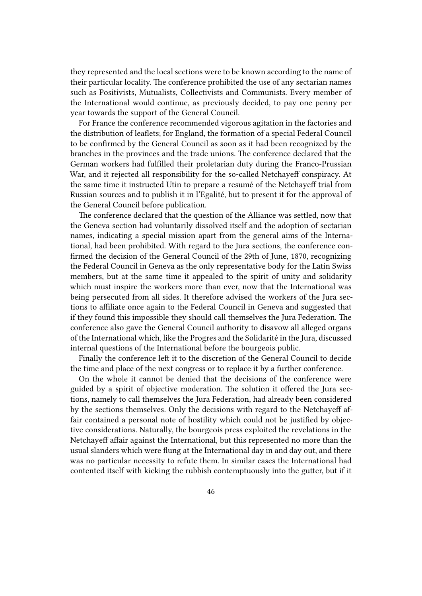they represented and the local sections were to be known according to the name of their particular locality. The conference prohibited the use of any sectarian names such as Positivists, Mutualists, Collectivists and Communists. Every member of the International would continue, as previously decided, to pay one penny per year towards the support of the General Council.

For France the conference recommended vigorous agitation in the factories and the distribution of leaflets; for England, the formation of a special Federal Council to be confirmed by the General Council as soon as it had been recognized by the branches in the provinces and the trade unions. The conference declared that the German workers had fulfilled their proletarian duty during the Franco-Prussian War, and it rejected all responsibility for the so-called Netchayeff conspiracy. At the same time it instructed Utin to prepare a resumé of the Netchayeff trial from Russian sources and to publish it in l'Egalité, but to present it for the approval of the General Council before publication.

The conference declared that the question of the Alliance was settled, now that the Geneva section had voluntarily dissolved itself and the adoption of sectarian names, indicating a special mission apart from the general aims of the International, had been prohibited. With regard to the Jura sections, the conference confirmed the decision of the General Council of the 29th of June, 1870, recognizing the Federal Council in Geneva as the only representative body for the Latin Swiss members, but at the same time it appealed to the spirit of unity and solidarity which must inspire the workers more than ever, now that the International was being persecuted from all sides. It therefore advised the workers of the Jura sections to affiliate once again to the Federal Council in Geneva and suggested that if they found this impossible they should call themselves the Jura Federation. The conference also gave the General Council authority to disavow all alleged organs of the International which, like the Progres and the Solidarité in the Jura, discussed internal questions of the International before the bourgeois public.

Finally the conference left it to the discretion of the General Council to decide the time and place of the next congress or to replace it by a further conference.

On the whole it cannot be denied that the decisions of the conference were guided by a spirit of objective moderation. The solution it offered the Jura sections, namely to call themselves the Jura Federation, had already been considered by the sections themselves. Only the decisions with regard to the Netchayeff affair contained a personal note of hostility which could not be justified by objective considerations. Naturally, the bourgeois press exploited the revelations in the Netchayeff affair against the International, but this represented no more than the usual slanders which were flung at the International day in and day out, and there was no particular necessity to refute them. In similar cases the International had contented itself with kicking the rubbish contemptuously into the gutter, but if it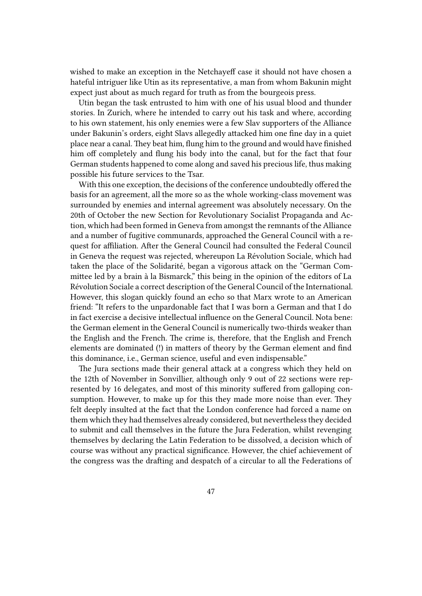wished to make an exception in the Netchayeff case it should not have chosen a hateful intriguer like Utin as its representative, a man from whom Bakunin might expect just about as much regard for truth as from the bourgeois press.

Utin began the task entrusted to him with one of his usual blood and thunder stories. In Zurich, where he intended to carry out his task and where, according to his own statement, his only enemies were a few Slav supporters of the Alliance under Bakunin's orders, eight Slavs allegedly attacked him one fine day in a quiet place near a canal. They beat him, flung him to the ground and would have finished him off completely and flung his body into the canal, but for the fact that four German students happened to come along and saved his precious life, thus making possible his future services to the Tsar.

With this one exception, the decisions of the conference undoubtedly offered the basis for an agreement, all the more so as the whole working-class movement was surrounded by enemies and internal agreement was absolutely necessary. On the 20th of October the new Section for Revolutionary Socialist Propaganda and Action, which had been formed in Geneva from amongst the remnants of the Alliance and a number of fugitive communards, approached the General Council with a request for affiliation. After the General Council had consulted the Federal Council in Geneva the request was rejected, whereupon La Révolution Sociale, which had taken the place of the Solidarité, began a vigorous attack on the "German Committee led by a brain à la Bismarck," this being in the opinion of the editors of La Révolution Sociale a correct description of the General Council of the International. However, this slogan quickly found an echo so that Marx wrote to an American friend: "It refers to the unpardonable fact that I was born a German and that I do in fact exercise a decisive intellectual influence on the General Council. Nota bene: the German element in the General Council is numerically two-thirds weaker than the English and the French. The crime is, therefore, that the English and French elements are dominated (!) in matters of theory by the German element and find this dominance, i.e., German science, useful and even indispensable."

The Jura sections made their general attack at a congress which they held on the 12th of November in Sonvillier, although only 9 out of 22 sections were represented by 16 delegates, and most of this minority suffered from galloping consumption. However, to make up for this they made more noise than ever. They felt deeply insulted at the fact that the London conference had forced a name on them which they had themselves already considered, but nevertheless they decided to submit and call themselves in the future the Jura Federation, whilst revenging themselves by declaring the Latin Federation to be dissolved, a decision which of course was without any practical significance. However, the chief achievement of the congress was the drafting and despatch of a circular to all the Federations of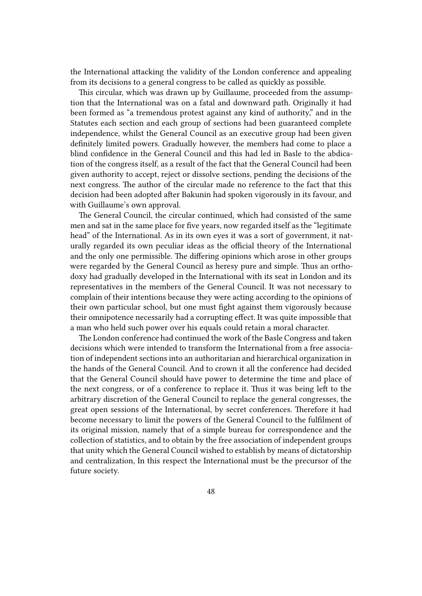the International attacking the validity of the London conference and appealing from its decisions to a general congress to be called as quickly as possible.

This circular, which was drawn up by Guillaume, proceeded from the assumption that the International was on a fatal and downward path. Originally it had been formed as "a tremendous protest against any kind of authority," and in the Statutes each section and each group of sections had been guaranteed complete independence, whilst the General Council as an executive group had been given definitely limited powers. Gradually however, the members had come to place a blind confidence in the General Council and this had led in Basle to the abdication of the congress itself, as a result of the fact that the General Council had been given authority to accept, reject or dissolve sections, pending the decisions of the next congress. The author of the circular made no reference to the fact that this decision had been adopted after Bakunin had spoken vigorously in its favour, and with Guillaume's own approval.

The General Council, the circular continued, which had consisted of the same men and sat in the same place for five years, now regarded itself as the "legitimate head" of the International. As in its own eyes it was a sort of government, it naturally regarded its own peculiar ideas as the official theory of the International and the only one permissible. The differing opinions which arose in other groups were regarded by the General Council as heresy pure and simple. Thus an orthodoxy had gradually developed in the International with its seat in London and its representatives in the members of the General Council. It was not necessary to complain of their intentions because they were acting according to the opinions of their own particular school, but one must fight against them vigorously because their omnipotence necessarily had a corrupting effect. It was quite impossible that a man who held such power over his equals could retain a moral character.

The London conference had continued the work of the Basle Congress and taken decisions which were intended to transform the International from a free association of independent sections into an authoritarian and hierarchical organization in the hands of the General Council. And to crown it all the conference had decided that the General Council should have power to determine the time and place of the next congress, or of a conference to replace it. Thus it was being left to the arbitrary discretion of the General Council to replace the general congresses, the great open sessions of the International, by secret conferences. Therefore it had become necessary to limit the powers of the General Council to the fulfilment of its original mission, namely that of a simple bureau for correspondence and the collection of statistics, and to obtain by the free association of independent groups that unity which the General Council wished to establish by means of dictatorship and centralization, In this respect the International must be the precursor of the future society.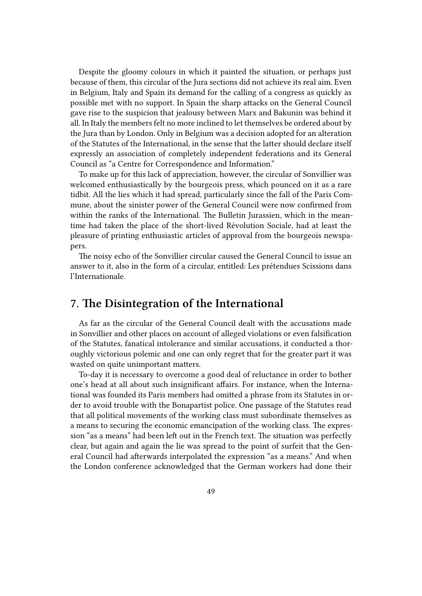Despite the gloomy colours in which it painted the situation, or perhaps just because of them, this circular of the Jura sections did not achieve its real aim. Even in Belgium, Italy and Spain its demand for the calling of a congress as quickly as possible met with no support. In Spain the sharp attacks on the General Council gave rise to the suspicion that jealousy between Marx and Bakunin was behind it all. In Italy the members felt no more inclined to let themselves be ordered about by the Jura than by London. Only in Belgium was a decision adopted for an alteration of the Statutes of the International, in the sense that the latter should declare itself expressly an association of completely independent federations and its General Council as "a Centre for Correspondence and Information."

To make up for this lack of appreciation, however, the circular of Sonvillier was welcomed enthusiastically by the bourgeois press, which pounced on it as a rare tidbit. All the lies which it had spread, particularly since the fall of the Paris Commune, about the sinister power of the General Council were now confirmed from within the ranks of the International. The Bulletin Jurassien, which in the meantime had taken the place of the short-lived Révolution Sociale, had at least the pleasure of printing enthusiastic articles of approval from the bourgeois newspapers.

The noisy echo of the Sonvillier circular caused the General Council to issue an answer to it, also in the form of a circular, entitled: Les prétendues Scissions dans l'Internationale.

### **7. The Disintegration of the International**

As far as the circular of the General Council dealt with the accusations made in Sonvillier and other places on account of alleged violations or even falsification of the Statutes, fanatical intolerance and similar accusations, it conducted a thoroughly victorious polemic and one can only regret that for the greater part it was wasted on quite unimportant matters.

To-day it is necessary to overcome a good deal of reluctance in order to bother one's head at all about such insignificant affairs. For instance, when the International was founded its Paris members had omitted a phrase from its Statutes in order to avoid trouble with the Bonapartist police. One passage of the Statutes read that all political movements of the working class must subordinate themselves as a means to securing the economic emancipation of the working class. The expression "as a means" had been left out in the French text. The situation was perfectly clear, but again and again the lie was spread to the point of surfeit that the General Council had afterwards interpolated the expression "as a means." And when the London conference acknowledged that the German workers had done their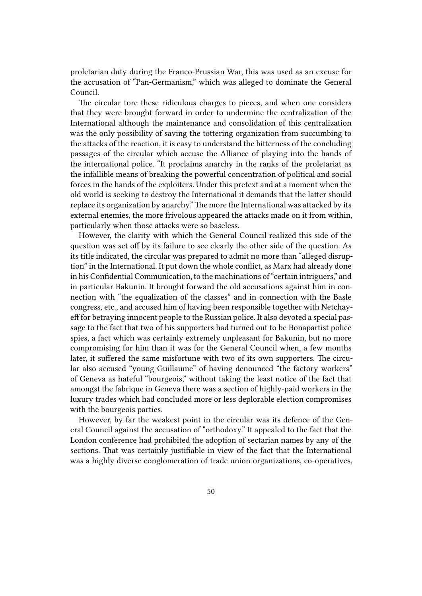proletarian duty during the Franco-Prussian War, this was used as an excuse for the accusation of "Pan-Germanism," which was alleged to dominate the General Council.

The circular tore these ridiculous charges to pieces, and when one considers that they were brought forward in order to undermine the centralization of the International although the maintenance and consolidation of this centralization was the only possibility of saving the tottering organization from succumbing to the attacks of the reaction, it is easy to understand the bitterness of the concluding passages of the circular which accuse the Alliance of playing into the hands of the international police. "It proclaims anarchy in the ranks of the proletariat as the infallible means of breaking the powerful concentration of political and social forces in the hands of the exploiters. Under this pretext and at a moment when the old world is seeking to destroy the International it demands that the latter should replace its organization by anarchy." The more the International was attacked by its external enemies, the more frivolous appeared the attacks made on it from within, particularly when those attacks were so baseless.

However, the clarity with which the General Council realized this side of the question was set off by its failure to see clearly the other side of the question. As its title indicated, the circular was prepared to admit no more than "alleged disruption" in the International. It put down the whole conflict, as Marx had already done in his Confidential Communication, to the machinations of "certain intriguers," and in particular Bakunin. It brought forward the old accusations against him in connection with "the equalization of the classes" and in connection with the Basle congress, etc., and accused him of having been responsible together with Netchayeff for betraying innocent people to the Russian police. It also devoted a special passage to the fact that two of his supporters had turned out to be Bonapartist police spies, a fact which was certainly extremely unpleasant for Bakunin, but no more compromising for him than it was for the General Council when, a few months later, it suffered the same misfortune with two of its own supporters. The circular also accused "young Guillaume" of having denounced "the factory workers" of Geneva as hateful "bourgeois," without taking the least notice of the fact that amongst the fabrique in Geneva there was a section of highly-paid workers in the luxury trades which had concluded more or less deplorable election compromises with the bourgeois parties.

However, by far the weakest point in the circular was its defence of the General Council against the accusation of "orthodoxy." It appealed to the fact that the London conference had prohibited the adoption of sectarian names by any of the sections. That was certainly justifiable in view of the fact that the International was a highly diverse conglomeration of trade union organizations, co-operatives,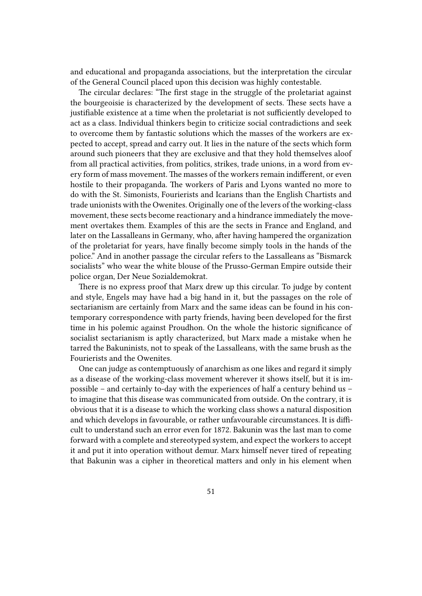and educational and propaganda associations, but the interpretation the circular of the General Council placed upon this decision was highly contestable.

The circular declares: "The first stage in the struggle of the proletariat against the bourgeoisie is characterized by the development of sects. These sects have a justifiable existence at a time when the proletariat is not sufficiently developed to act as a class. Individual thinkers begin to criticize social contradictions and seek to overcome them by fantastic solutions which the masses of the workers are expected to accept, spread and carry out. It lies in the nature of the sects which form around such pioneers that they are exclusive and that they hold themselves aloof from all practical activities, from politics, strikes, trade unions, in a word from every form of mass movement. The masses of the workers remain indifferent, or even hostile to their propaganda. The workers of Paris and Lyons wanted no more to do with the St. Simonists, Fourierists and Icarians than the English Chartists and trade unionists with the Owenites. Originally one of the levers of the working-class movement, these sects become reactionary and a hindrance immediately the movement overtakes them. Examples of this are the sects in France and England, and later on the Lassalleans in Germany, who, after having hampered the organization of the proletariat for years, have finally become simply tools in the hands of the police." And in another passage the circular refers to the Lassalleans as "Bismarck socialists" who wear the white blouse of the Prusso-German Empire outside their police organ, Der Neue Sozialdemokrat.

There is no express proof that Marx drew up this circular. To judge by content and style, Engels may have had a big hand in it, but the passages on the role of sectarianism are certainly from Marx and the same ideas can be found in his contemporary correspondence with party friends, having been developed for the first time in his polemic against Proudhon. On the whole the historic significance of socialist sectarianism is aptly characterized, but Marx made a mistake when he tarred the Bakuninists, not to speak of the Lassalleans, with the same brush as the Fourierists and the Owenites.

One can judge as contemptuously of anarchism as one likes and regard it simply as a disease of the working-class movement wherever it shows itself, but it is impossible – and certainly to-day with the experiences of half a century behind us – to imagine that this disease was communicated from outside. On the contrary, it is obvious that it is a disease to which the working class shows a natural disposition and which develops in favourable, or rather unfavourable circumstances. It is difficult to understand such an error even for 1872. Bakunin was the last man to come forward with a complete and stereotyped system, and expect the workers to accept it and put it into operation without demur. Marx himself never tired of repeating that Bakunin was a cipher in theoretical matters and only in his element when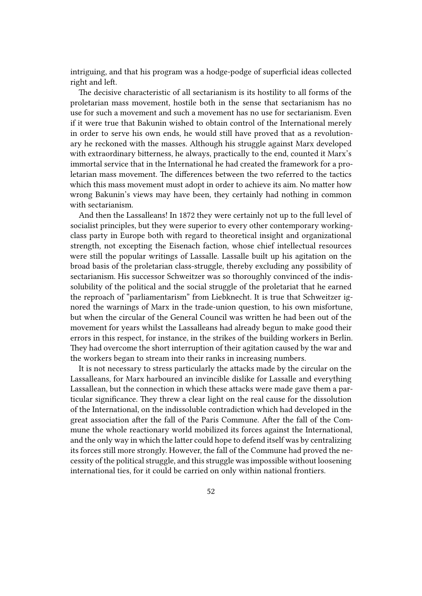intriguing, and that his program was a hodge-podge of superficial ideas collected right and left.

The decisive characteristic of all sectarianism is its hostility to all forms of the proletarian mass movement, hostile both in the sense that sectarianism has no use for such a movement and such a movement has no use for sectarianism. Even if it were true that Bakunin wished to obtain control of the International merely in order to serve his own ends, he would still have proved that as a revolutionary he reckoned with the masses. Although his struggle against Marx developed with extraordinary bitterness, he always, practically to the end, counted it Marx's immortal service that in the International he had created the framework for a proletarian mass movement. The differences between the two referred to the tactics which this mass movement must adopt in order to achieve its aim. No matter how wrong Bakunin's views may have been, they certainly had nothing in common with sectarianism.

And then the Lassalleans! In 1872 they were certainly not up to the full level of socialist principles, but they were superior to every other contemporary workingclass party in Europe both with regard to theoretical insight and organizational strength, not excepting the Eisenach faction, whose chief intellectual resources were still the popular writings of Lassalle. Lassalle built up his agitation on the broad basis of the proletarian class-struggle, thereby excluding any possibility of sectarianism. His successor Schweitzer was so thoroughly convinced of the indissolubility of the political and the social struggle of the proletariat that he earned the reproach of "parliamentarism" from Liebknecht. It is true that Schweitzer ignored the warnings of Marx in the trade-union question, to his own misfortune, but when the circular of the General Council was written he had been out of the movement for years whilst the Lassalleans had already begun to make good their errors in this respect, for instance, in the strikes of the building workers in Berlin. They had overcome the short interruption of their agitation caused by the war and the workers began to stream into their ranks in increasing numbers.

It is not necessary to stress particularly the attacks made by the circular on the Lassalleans, for Marx harboured an invincible dislike for Lassalle and everything Lassallean, but the connection in which these attacks were made gave them a particular significance. They threw a clear light on the real cause for the dissolution of the International, on the indissoluble contradiction which had developed in the great association after the fall of the Paris Commune. After the fall of the Commune the whole reactionary world mobilized its forces against the International, and the only way in which the latter could hope to defend itself was by centralizing its forces still more strongly. However, the fall of the Commune had proved the necessity of the political struggle, and this struggle was impossible without loosening international ties, for it could be carried on only within national frontiers.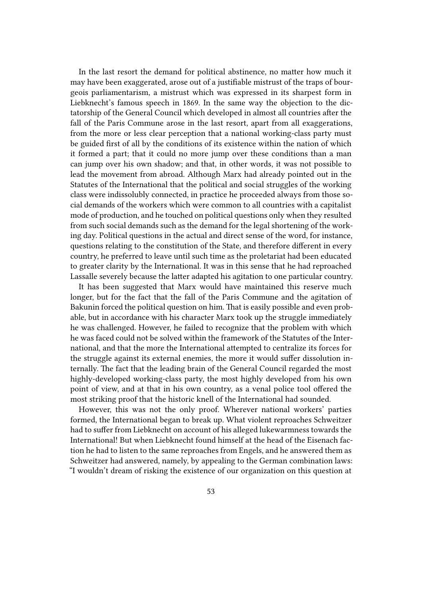In the last resort the demand for political abstinence, no matter how much it may have been exaggerated, arose out of a justifiable mistrust of the traps of bourgeois parliamentarism, a mistrust which was expressed in its sharpest form in Liebknecht's famous speech in 1869. In the same way the objection to the dictatorship of the General Council which developed in almost all countries after the fall of the Paris Commune arose in the last resort, apart from all exaggerations, from the more or less clear perception that a national working-class party must be guided first of all by the conditions of its existence within the nation of which it formed a part; that it could no more jump over these conditions than a man can jump over his own shadow; and that, in other words, it was not possible to lead the movement from abroad. Although Marx had already pointed out in the Statutes of the International that the political and social struggles of the working class were indissolubly connected, in practice he proceeded always from those social demands of the workers which were common to all countries with a capitalist mode of production, and he touched on political questions only when they resulted from such social demands such as the demand for the legal shortening of the working day. Political questions in the actual and direct sense of the word, for instance, questions relating to the constitution of the State, and therefore different in every country, he preferred to leave until such time as the proletariat had been educated to greater clarity by the International. It was in this sense that he had reproached Lassalle severely because the latter adapted his agitation to one particular country.

It has been suggested that Marx would have maintained this reserve much longer, but for the fact that the fall of the Paris Commune and the agitation of Bakunin forced the political question on him. That is easily possible and even probable, but in accordance with his character Marx took up the struggle immediately he was challenged. However, he failed to recognize that the problem with which he was faced could not be solved within the framework of the Statutes of the International, and that the more the International attempted to centralize its forces for the struggle against its external enemies, the more it would suffer dissolution internally. The fact that the leading brain of the General Council regarded the most highly-developed working-class party, the most highly developed from his own point of view, and at that in his own country, as a venal police tool offered the most striking proof that the historic knell of the International had sounded.

However, this was not the only proof. Wherever national workers' parties formed, the International began to break up. What violent reproaches Schweitzer had to suffer from Liebknecht on account of his alleged lukewarmness towards the International! But when Liebknecht found himself at the head of the Eisenach faction he had to listen to the same reproaches from Engels, and he answered them as Schweitzer had answered, namely, by appealing to the German combination laws: "I wouldn't dream of risking the existence of our organization on this question at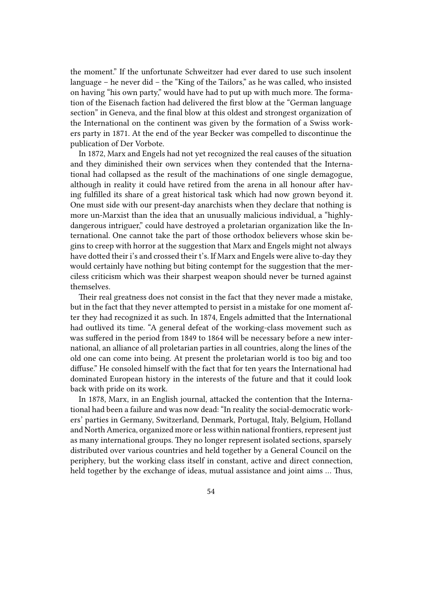the moment." If the unfortunate Schweitzer had ever dared to use such insolent language – he never did – the "King of the Tailors," as he was called, who insisted on having "his own party," would have had to put up with much more. The formation of the Eisenach faction had delivered the first blow at the "German language section" in Geneva, and the final blow at this oldest and strongest organization of the International on the continent was given by the formation of a Swiss workers party in 1871. At the end of the year Becker was compelled to discontinue the publication of Der Vorbote.

In 1872, Marx and Engels had not yet recognized the real causes of the situation and they diminished their own services when they contended that the International had collapsed as the result of the machinations of one single demagogue, although in reality it could have retired from the arena in all honour after having fulfilled its share of a great historical task which had now grown beyond it. One must side with our present-day anarchists when they declare that nothing is more un-Marxist than the idea that an unusually malicious individual, a "highlydangerous intriguer," could have destroyed a proletarian organization like the International. One cannot take the part of those orthodox believers whose skin begins to creep with horror at the suggestion that Marx and Engels might not always have dotted their i's and crossed their t's. If Marx and Engels were alive to-day they would certainly have nothing but biting contempt for the suggestion that the merciless criticism which was their sharpest weapon should never be turned against themselves.

Their real greatness does not consist in the fact that they never made a mistake, but in the fact that they never attempted to persist in a mistake for one moment after they had recognized it as such. In 1874, Engels admitted that the International had outlived its time. "A general defeat of the working-class movement such as was suffered in the period from 1849 to 1864 will be necessary before a new international, an alliance of all proletarian parties in all countries, along the lines of the old one can come into being. At present the proletarian world is too big and too diffuse." He consoled himself with the fact that for ten years the International had dominated European history in the interests of the future and that it could look back with pride on its work.

In 1878, Marx, in an English journal, attacked the contention that the International had been a failure and was now dead: "In reality the social-democratic workers' parties in Germany, Switzerland, Denmark, Portugal, Italy, Belgium, Holland and North America, organized more or less within national frontiers, represent just as many international groups. They no longer represent isolated sections, sparsely distributed over various countries and held together by a General Council on the periphery, but the working class itself in constant, active and direct connection, held together by the exchange of ideas, mutual assistance and joint aims … Thus,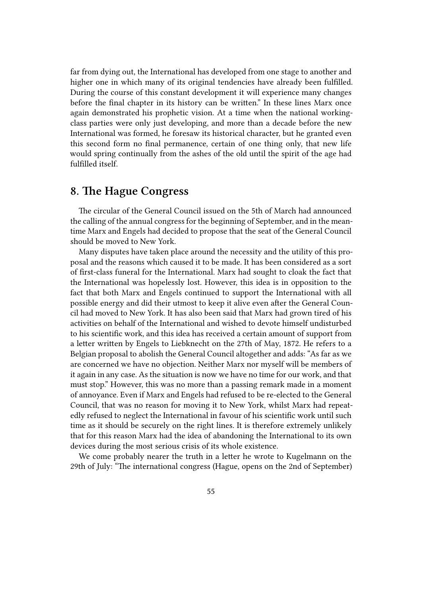far from dying out, the International has developed from one stage to another and higher one in which many of its original tendencies have already been fulfilled. During the course of this constant development it will experience many changes before the final chapter in its history can be written." In these lines Marx once again demonstrated his prophetic vision. At a time when the national workingclass parties were only just developing, and more than a decade before the new International was formed, he foresaw its historical character, but he granted even this second form no final permanence, certain of one thing only, that new life would spring continually from the ashes of the old until the spirit of the age had fulfilled itself.

### **8. The Hague Congress**

The circular of the General Council issued on the 5th of March had announced the calling of the annual congress for the beginning of September, and in the meantime Marx and Engels had decided to propose that the seat of the General Council should be moved to New York.

Many disputes have taken place around the necessity and the utility of this proposal and the reasons which caused it to be made. It has been considered as a sort of first-class funeral for the International. Marx had sought to cloak the fact that the International was hopelessly lost. However, this idea is in opposition to the fact that both Marx and Engels continued to support the International with all possible energy and did their utmost to keep it alive even after the General Council had moved to New York. It has also been said that Marx had grown tired of his activities on behalf of the International and wished to devote himself undisturbed to his scientific work, and this idea has received a certain amount of support from a letter written by Engels to Liebknecht on the 27th of May, 1872. He refers to a Belgian proposal to abolish the General Council altogether and adds: "As far as we are concerned we have no objection. Neither Marx nor myself will be members of it again in any case. As the situation is now we have no time for our work, and that must stop." However, this was no more than a passing remark made in a moment of annoyance. Even if Marx and Engels had refused to be re-elected to the General Council, that was no reason for moving it to New York, whilst Marx had repeatedly refused to neglect the International in favour of his scientific work until such time as it should be securely on the right lines. It is therefore extremely unlikely that for this reason Marx had the idea of abandoning the International to its own devices during the most serious crisis of its whole existence.

We come probably nearer the truth in a letter he wrote to Kugelmann on the 29th of July: "The international congress (Hague, opens on the 2nd of September)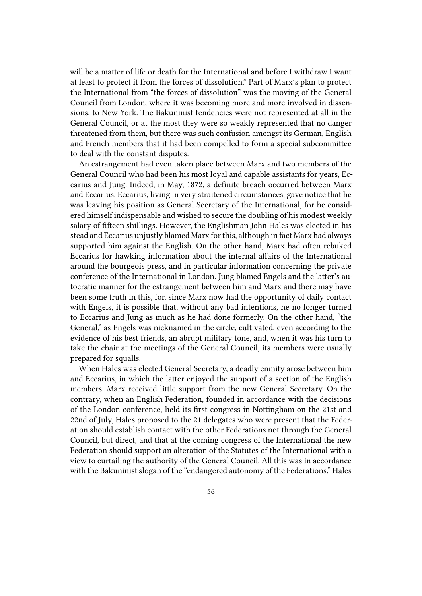will be a matter of life or death for the International and before I withdraw I want at least to protect it from the forces of dissolution." Part of Marx's plan to protect the International from "the forces of dissolution" was the moving of the General Council from London, where it was becoming more and more involved in dissensions, to New York. The Bakuninist tendencies were not represented at all in the General Council, or at the most they were so weakly represented that no danger threatened from them, but there was such confusion amongst its German, English and French members that it had been compelled to form a special subcommittee to deal with the constant disputes.

An estrangement had even taken place between Marx and two members of the General Council who had been his most loyal and capable assistants for years, Eccarius and Jung. Indeed, in May, 1872, a definite breach occurred between Marx and Eccarius. Eccarius, living in very straitened circumstances, gave notice that he was leaving his position as General Secretary of the International, for he considered himself indispensable and wished to secure the doubling of his modest weekly salary of fifteen shillings. However, the Englishman John Hales was elected in his stead and Eccarius unjustly blamed Marx for this, although in fact Marx had always supported him against the English. On the other hand, Marx had often rebuked Eccarius for hawking information about the internal affairs of the International around the bourgeois press, and in particular information concerning the private conference of the International in London. Jung blamed Engels and the latter's autocratic manner for the estrangement between him and Marx and there may have been some truth in this, for, since Marx now had the opportunity of daily contact with Engels, it is possible that, without any bad intentions, he no longer turned to Eccarius and Jung as much as he had done formerly. On the other hand, "the General," as Engels was nicknamed in the circle, cultivated, even according to the evidence of his best friends, an abrupt military tone, and, when it was his turn to take the chair at the meetings of the General Council, its members were usually prepared for squalls.

When Hales was elected General Secretary, a deadly enmity arose between him and Eccarius, in which the latter enjoyed the support of a section of the English members. Marx received little support from the new General Secretary. On the contrary, when an English Federation, founded in accordance with the decisions of the London conference, held its first congress in Nottingham on the 21st and 22nd of July, Hales proposed to the 21 delegates who were present that the Federation should establish contact with the other Federations not through the General Council, but direct, and that at the coming congress of the International the new Federation should support an alteration of the Statutes of the International with a view to curtailing the authority of the General Council. All this was in accordance with the Bakuninist slogan of the "endangered autonomy of the Federations." Hales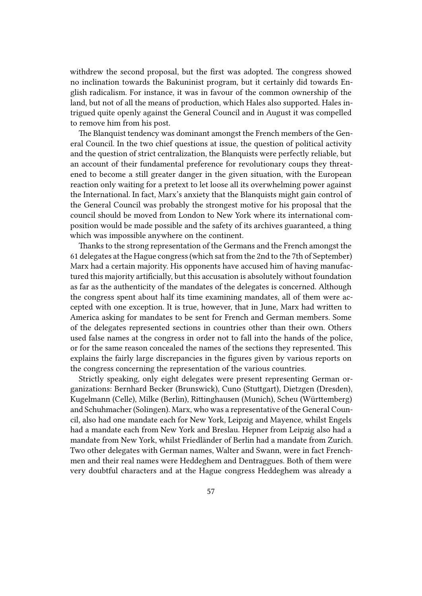withdrew the second proposal, but the first was adopted. The congress showed no inclination towards the Bakuninist program, but it certainly did towards English radicalism. For instance, it was in favour of the common ownership of the land, but not of all the means of production, which Hales also supported. Hales intrigued quite openly against the General Council and in August it was compelled to remove him from his post.

The Blanquist tendency was dominant amongst the French members of the General Council. In the two chief questions at issue, the question of political activity and the question of strict centralization, the Blanquists were perfectly reliable, but an account of their fundamental preference for revolutionary coups they threatened to become a still greater danger in the given situation, with the European reaction only waiting for a pretext to let loose all its overwhelming power against the International. In fact, Marx's anxiety that the Blanquists might gain control of the General Council was probably the strongest motive for his proposal that the council should be moved from London to New York where its international composition would be made possible and the safety of its archives guaranteed, a thing which was impossible anywhere on the continent.

Thanks to the strong representation of the Germans and the French amongst the 61 delegates at the Hague congress (which sat from the 2nd to the 7th of September) Marx had a certain majority. His opponents have accused him of having manufactured this majority artificially, but this accusation is absolutely without foundation as far as the authenticity of the mandates of the delegates is concerned. Although the congress spent about half its time examining mandates, all of them were accepted with one exception. It is true, however, that in June, Marx had written to America asking for mandates to be sent for French and German members. Some of the delegates represented sections in countries other than their own. Others used false names at the congress in order not to fall into the hands of the police, or for the same reason concealed the names of the sections they represented. This explains the fairly large discrepancies in the figures given by various reports on the congress concerning the representation of the various countries.

Strictly speaking, only eight delegates were present representing German organizations: Bernhard Becker (Brunswick), Cuno (Stuttgart), Dietzgen (Dresden), Kugelmann (Celle), Milke (Berlin), Rittinghausen (Munich), Scheu (Württemberg) and Schuhmacher (Solingen). Marx, who was a representative of the General Council, also had one mandate each for New York, Leipzig and Mayence, whilst Engels had a mandate each from New York and Breslau. Hepner from Leipzig also had a mandate from New York, whilst Friedländer of Berlin had a mandate from Zurich. Two other delegates with German names, Walter and Swann, were in fact Frenchmen and their real names were Heddeghem and Dentraggues. Both of them were very doubtful characters and at the Hague congress Heddeghem was already a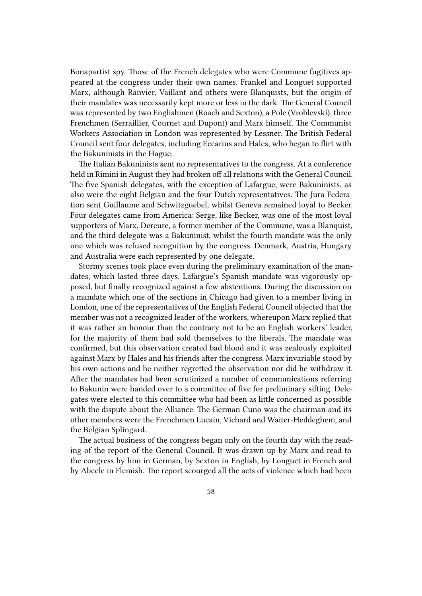Bonapartist spy. Those of the French delegates who were Commune fugitives appeared at the congress under their own names. Frankel and Longuet supported Marx, although Ranvier, Vaillant and others were Blanquists, but the origin of their mandates was necessarily kept more or less in the dark. The General Council was represented by two Englishmen (Roach and Sexton), a Pole (Vroblevski), three Frenchmen (Serraillier, Cournet and Dupont) and Marx himself. The Communist Workers Association in London was represented by Lessner. The British Federal Council sent four delegates, including Eccarius and Hales, who began to flirt with the Bakuninists in the Hague.

The Italian Bakuninists sent no representatives to the congress. At a conference held in Rimini in August they had broken off all relations with the General Council. The five Spanish delegates, with the exception of Lafargue, were Bakuninists, as also were the eight Belgian and the four Dutch representatives. The Jura Federation sent Guillaume and Schwitzguebel, whilst Geneva remained loyal to Becker. Four delegates came from America: Serge, like Becker, was one of the most loyal supporters of Marx, Dereure, a former member of the Commune, was a Blanquist, and the third delegate was a Bakuninist, whilst the fourth mandate was the only one which was refused recognition by the congress. Denmark, Austria, Hungary and Australia were each represented by one delegate.

Stormy scenes took place even during the preliminary examination of the mandates, which lasted three days. Lafargue's Spanish mandate was vigorously opposed, but finally recognized against a few abstentions. During the discussion on a mandate which one of the sections in Chicago had given to a member living in London, one of the representatives of the English Federal Council objected that the member was not a recognized leader of the workers, whereupon Marx replied that it was rather an honour than the contrary not to be an English workers' leader, for the majority of them had sold themselves to the liberals. The mandate was confirmed, but this observation created bad blood and it was zealously exploited against Marx by Hales and his friends after the congress. Marx invariable stood by his own actions and he neither regretted the observation nor did he withdraw it. After the mandates had been scrutinized a number of communications referring to Bakunin were handed over to a committee of five for preliminary sifting. Delegates were elected to this committee who had been as little concerned as possible with the dispute about the Alliance. The German Cuno was the chairman and its other members were the Frenchmen Lucain, Vichard and Waiter-Heddeghem, and the Belgian Splingard.

The actual business of the congress began only on the fourth day with the reading of the report of the General Council. It was drawn up by Marx and read to the congress by him in German, by Sexton in English, by Longuet in French and by Abeele in Flemish. The report scourged all the acts of violence which had been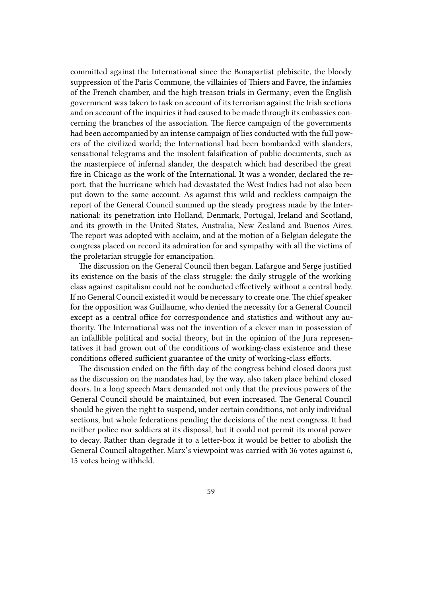committed against the International since the Bonapartist plebiscite, the bloody suppression of the Paris Commune, the villainies of Thiers and Favre, the infamies of the French chamber, and the high treason trials in Germany; even the English government was taken to task on account of its terrorism against the Irish sections and on account of the inquiries it had caused to be made through its embassies concerning the branches of the association. The fierce campaign of the governments had been accompanied by an intense campaign of lies conducted with the full powers of the civilized world; the International had been bombarded with slanders, sensational telegrams and the insolent falsification of public documents, such as the masterpiece of infernal slander, the despatch which had described the great fire in Chicago as the work of the International. It was a wonder, declared the report, that the hurricane which had devastated the West Indies had not also been put down to the same account. As against this wild and reckless campaign the report of the General Council summed up the steady progress made by the International: its penetration into Holland, Denmark, Portugal, Ireland and Scotland, and its growth in the United States, Australia, New Zealand and Buenos Aires. The report was adopted with acclaim, and at the motion of a Belgian delegate the congress placed on record its admiration for and sympathy with all the victims of the proletarian struggle for emancipation.

The discussion on the General Council then began. Lafargue and Serge justified its existence on the basis of the class struggle: the daily struggle of the working class against capitalism could not be conducted effectively without a central body. If no General Council existed it would be necessary to create one. The chief speaker for the opposition was Guillaume, who denied the necessity for a General Council except as a central office for correspondence and statistics and without any authority. The International was not the invention of a clever man in possession of an infallible political and social theory, but in the opinion of the Jura representatives it had grown out of the conditions of working-class existence and these conditions offered sufficient guarantee of the unity of working-class efforts.

The discussion ended on the fifth day of the congress behind closed doors just as the discussion on the mandates had, by the way, also taken place behind closed doors. In a long speech Marx demanded not only that the previous powers of the General Council should be maintained, but even increased. The General Council should be given the right to suspend, under certain conditions, not only individual sections, but whole federations pending the decisions of the next congress. It had neither police nor soldiers at its disposal, but it could not permit its moral power to decay. Rather than degrade it to a letter-box it would be better to abolish the General Council altogether. Marx's viewpoint was carried with 36 votes against 6, 15 votes being withheld.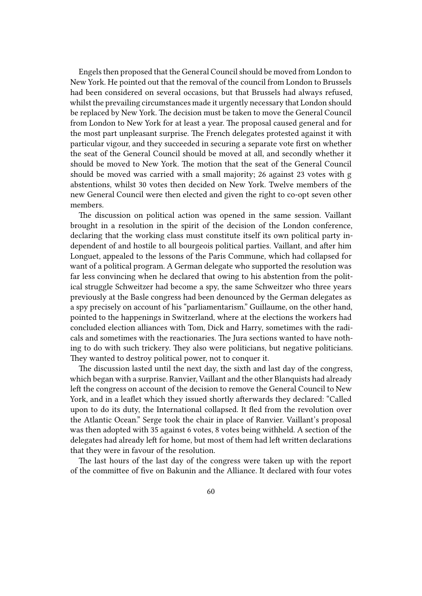Engels then proposed that the General Council should be moved from London to New York. He pointed out that the removal of the council from London to Brussels had been considered on several occasions, but that Brussels had always refused, whilst the prevailing circumstances made it urgently necessary that London should be replaced by New York. The decision must be taken to move the General Council from London to New York for at least a year. The proposal caused general and for the most part unpleasant surprise. The French delegates protested against it with particular vigour, and they succeeded in securing a separate vote first on whether the seat of the General Council should be moved at all, and secondly whether it should be moved to New York. The motion that the seat of the General Council should be moved was carried with a small majority; 26 against 23 votes with g abstentions, whilst 30 votes then decided on New York. Twelve members of the new General Council were then elected and given the right to co-opt seven other members.

The discussion on political action was opened in the same session. Vaillant brought in a resolution in the spirit of the decision of the London conference, declaring that the working class must constitute itself its own political party independent of and hostile to all bourgeois political parties. Vaillant, and after him Longuet, appealed to the lessons of the Paris Commune, which had collapsed for want of a political program. A German delegate who supported the resolution was far less convincing when he declared that owing to his abstention from the political struggle Schweitzer had become a spy, the same Schweitzer who three years previously at the Basle congress had been denounced by the German delegates as a spy precisely on account of his "parliamentarism." Guillaume, on the other hand, pointed to the happenings in Switzerland, where at the elections the workers had concluded election alliances with Tom, Dick and Harry, sometimes with the radicals and sometimes with the reactionaries. The Jura sections wanted to have nothing to do with such trickery. They also were politicians, but negative politicians. They wanted to destroy political power, not to conquer it.

The discussion lasted until the next day, the sixth and last day of the congress, which began with a surprise. Ranvier, Vaillant and the other Blanquists had already left the congress on account of the decision to remove the General Council to New York, and in a leaflet which they issued shortly afterwards they declared: "Called upon to do its duty, the International collapsed. It fled from the revolution over the Atlantic Ocean." Serge took the chair in place of Ranvier. Vaillant's proposal was then adopted with 35 against 6 votes, 8 votes being withheld. A section of the delegates had already left for home, but most of them had left written declarations that they were in favour of the resolution.

The last hours of the last day of the congress were taken up with the report of the committee of five on Bakunin and the Alliance. It declared with four votes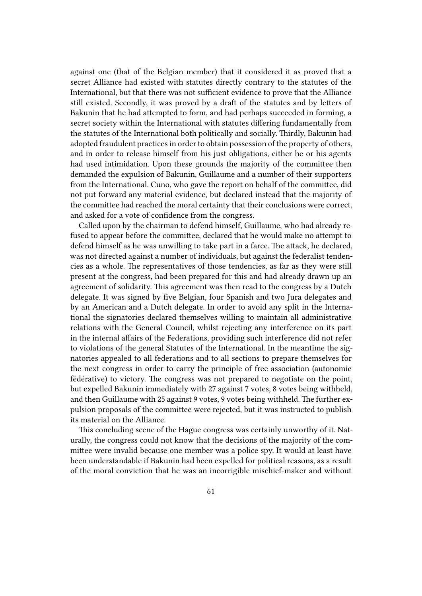against one (that of the Belgian member) that it considered it as proved that a secret Alliance had existed with statutes directly contrary to the statutes of the International, but that there was not sufficient evidence to prove that the Alliance still existed. Secondly, it was proved by a draft of the statutes and by letters of Bakunin that he had attempted to form, and had perhaps succeeded in forming, a secret society within the International with statutes differing fundamentally from the statutes of the International both politically and socially. Thirdly, Bakunin had adopted fraudulent practices in order to obtain possession of the property of others, and in order to release himself from his just obligations, either he or his agents had used intimidation. Upon these grounds the majority of the committee then demanded the expulsion of Bakunin, Guillaume and a number of their supporters from the International. Cuno, who gave the report on behalf of the committee, did not put forward any material evidence, but declared instead that the majority of the committee had reached the moral certainty that their conclusions were correct, and asked for a vote of confidence from the congress.

Called upon by the chairman to defend himself, Guillaume, who had already refused to appear before the committee, declared that he would make no attempt to defend himself as he was unwilling to take part in a farce. The attack, he declared, was not directed against a number of individuals, but against the federalist tendencies as a whole. The representatives of those tendencies, as far as they were still present at the congress, had been prepared for this and had already drawn up an agreement of solidarity. This agreement was then read to the congress by a Dutch delegate. It was signed by five Belgian, four Spanish and two Jura delegates and by an American and a Dutch delegate. In order to avoid any split in the International the signatories declared themselves willing to maintain all administrative relations with the General Council, whilst rejecting any interference on its part in the internal affairs of the Federations, providing such interference did not refer to violations of the general Statutes of the International. In the meantime the signatories appealed to all federations and to all sections to prepare themselves for the next congress in order to carry the principle of free association (autonomie fédérative) to victory. The congress was not prepared to negotiate on the point, but expelled Bakunin immediately with 27 against 7 votes, 8 votes being withheld, and then Guillaume with 25 against 9 votes, 9 votes being withheld. The further expulsion proposals of the committee were rejected, but it was instructed to publish its material on the Alliance.

This concluding scene of the Hague congress was certainly unworthy of it. Naturally, the congress could not know that the decisions of the majority of the committee were invalid because one member was a police spy. It would at least have been understandable if Bakunin had been expelled for political reasons, as a result of the moral conviction that he was an incorrigible mischief-maker and without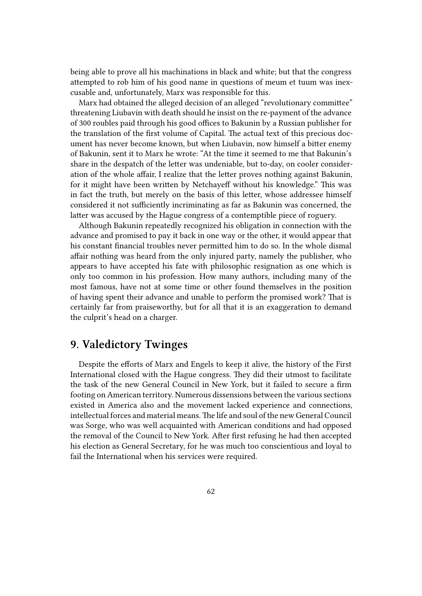being able to prove all his machinations in black and white; but that the congress attempted to rob him of his good name in questions of meum et tuum was inexcusable and, unfortunately, Marx was responsible for this.

Marx had obtained the alleged decision of an alleged "revolutionary committee" threatening Liubavin with death should he insist on the re-payment of the advance of 300 roubles paid through his good offices to Bakunin by a Russian publisher for the translation of the first volume of Capital. The actual text of this precious document has never become known, but when Liubavin, now himself a bitter enemy of Bakunin, sent it to Marx he wrote: "At the time it seemed to me that Bakunin's share in the despatch of the letter was undeniable, but to-day, on cooler consideration of the whole affair, I realize that the letter proves nothing against Bakunin, for it might have been written by Netchayeff without his knowledge." This was in fact the truth, but merely on the basis of this letter, whose addressee himself considered it not sufficiently incriminating as far as Bakunin was concerned, the latter was accused by the Hague congress of a contemptible piece of roguery.

Although Bakunin repeatedly recognized his obligation in connection with the advance and promised to pay it back in one way or the other, it would appear that his constant financial troubles never permitted him to do so. In the whole dismal affair nothing was heard from the only injured party, namely the publisher, who appears to have accepted his fate with philosophic resignation as one which is only too common in his profession. How many authors, including many of the most famous, have not at some time or other found themselves in the position of having spent their advance and unable to perform the promised work? That is certainly far from praiseworthy, but for all that it is an exaggeration to demand the culprit's head on a charger.

### **9. Valedictory Twinges**

Despite the efforts of Marx and Engels to keep it alive, the history of the First International closed with the Hague congress. They did their utmost to facilitate the task of the new General Council in New York, but it failed to secure a firm footing on American territory. Numerous dissensions between the various sections existed in America also and the movement lacked experience and connections, intellectual forces and material means.The life and soul of the new General Council was Sorge, who was well acquainted with American conditions and had opposed the removal of the Council to New York. After first refusing he had then accepted his election as General Secretary, for he was much too conscientious and loyal to fail the International when his services were required.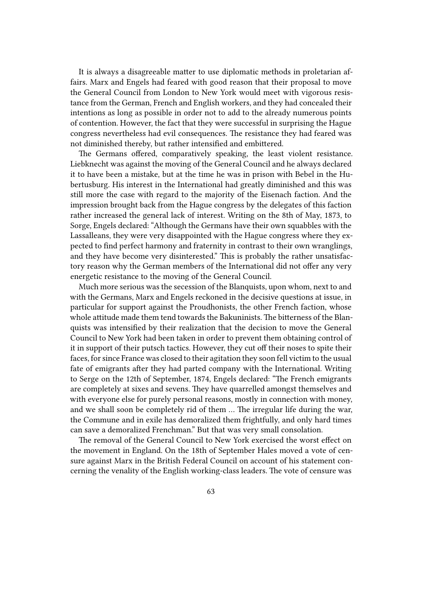It is always a disagreeable matter to use diplomatic methods in proletarian affairs. Marx and Engels had feared with good reason that their proposal to move the General Council from London to New York would meet with vigorous resistance from the German, French and English workers, and they had concealed their intentions as long as possible in order not to add to the already numerous points of contention. However, the fact that they were successful in surprising the Hague congress nevertheless had evil consequences. The resistance they had feared was not diminished thereby, but rather intensified and embittered.

The Germans offered, comparatively speaking, the least violent resistance. Liebknecht was against the moving of the General Council and he always declared it to have been a mistake, but at the time he was in prison with Bebel in the Hubertusburg. His interest in the International had greatly diminished and this was still more the case with regard to the majority of the Eisenach faction. And the impression brought back from the Hague congress by the delegates of this faction rather increased the general lack of interest. Writing on the 8th of May, 1873, to Sorge, Engels declared: "Although the Germans have their own squabbles with the Lassalleans, they were very disappointed with the Hague congress where they expected to find perfect harmony and fraternity in contrast to their own wranglings, and they have become very disinterested." This is probably the rather unsatisfactory reason why the German members of the International did not offer any very energetic resistance to the moving of the General Council.

Much more serious was the secession of the Blanquists, upon whom, next to and with the Germans, Marx and Engels reckoned in the decisive questions at issue, in particular for support against the Proudhonists, the other French faction, whose whole attitude made them tend towards the Bakuninists. The bitterness of the Blanquists was intensified by their realization that the decision to move the General Council to New York had been taken in order to prevent them obtaining control of it in support of their putsch tactics. However, they cut off their noses to spite their faces, for since France was closed to their agitation they soon fell victim to the usual fate of emigrants after they had parted company with the International. Writing to Serge on the 12th of September, 1874, Engels declared: "The French emigrants are completely at sixes and sevens. They have quarrelled amongst themselves and with everyone else for purely personal reasons, mostly in connection with money, and we shall soon be completely rid of them … The irregular life during the war, the Commune and in exile has demoralized them frightfully, and only hard times can save a demoralized Frenchman." But that was very small consolation.

The removal of the General Council to New York exercised the worst effect on the movement in England. On the 18th of September Hales moved a vote of censure against Marx in the British Federal Council on account of his statement concerning the venality of the English working-class leaders. The vote of censure was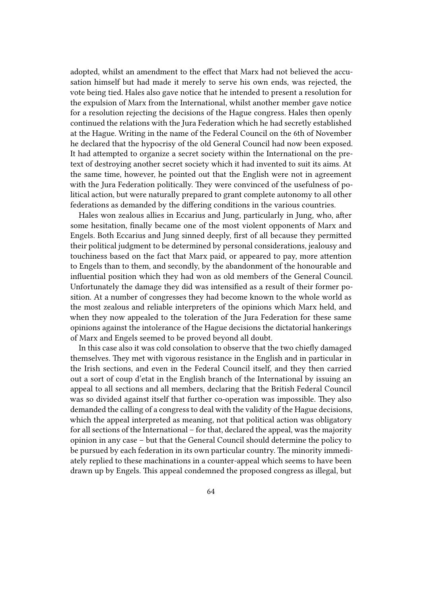adopted, whilst an amendment to the effect that Marx had not believed the accusation himself but had made it merely to serve his own ends, was rejected, the vote being tied. Hales also gave notice that he intended to present a resolution for the expulsion of Marx from the International, whilst another member gave notice for a resolution rejecting the decisions of the Hague congress. Hales then openly continued the relations with the Jura Federation which he had secretly established at the Hague. Writing in the name of the Federal Council on the 6th of November he declared that the hypocrisy of the old General Council had now been exposed. It had attempted to organize a secret society within the International on the pretext of destroying another secret society which it had invented to suit its aims. At the same time, however, he pointed out that the English were not in agreement with the Jura Federation politically. They were convinced of the usefulness of political action, but were naturally prepared to grant complete autonomy to all other federations as demanded by the differing conditions in the various countries.

Hales won zealous allies in Eccarius and Jung, particularly in Jung, who, after some hesitation, finally became one of the most violent opponents of Marx and Engels. Both Eccarius and Jung sinned deeply, first of all because they permitted their political judgment to be determined by personal considerations, jealousy and touchiness based on the fact that Marx paid, or appeared to pay, more attention to Engels than to them, and secondly, by the abandonment of the honourable and influential position which they had won as old members of the General Council. Unfortunately the damage they did was intensified as a result of their former position. At a number of congresses they had become known to the whole world as the most zealous and reliable interpreters of the opinions which Marx held, and when they now appealed to the toleration of the Jura Federation for these same opinions against the intolerance of the Hague decisions the dictatorial hankerings of Marx and Engels seemed to be proved beyond all doubt.

In this case also it was cold consolation to observe that the two chiefly damaged themselves. They met with vigorous resistance in the English and in particular in the Irish sections, and even in the Federal Council itself, and they then carried out a sort of coup d'etat in the English branch of the International by issuing an appeal to all sections and all members, declaring that the British Federal Council was so divided against itself that further co-operation was impossible. They also demanded the calling of a congress to deal with the validity of the Hague decisions, which the appeal interpreted as meaning, not that political action was obligatory for all sections of the International – for that, declared the appeal, was the majority opinion in any case – but that the General Council should determine the policy to be pursued by each federation in its own particular country. The minority immediately replied to these machinations in a counter-appeal which seems to have been drawn up by Engels. This appeal condemned the proposed congress as illegal, but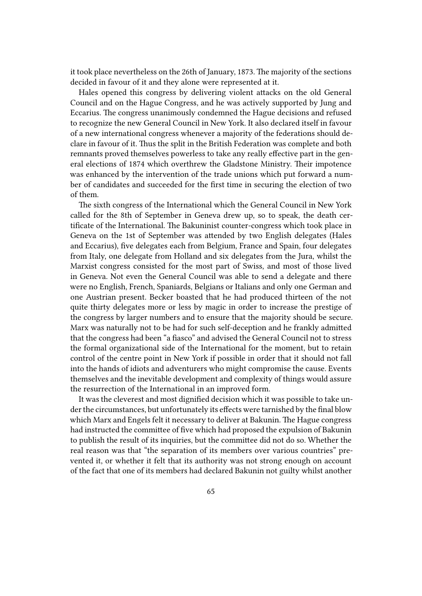it took place nevertheless on the 26th of January, 1873. The majority of the sections decided in favour of it and they alone were represented at it.

Hales opened this congress by delivering violent attacks on the old General Council and on the Hague Congress, and he was actively supported by Jung and Eccarius. The congress unanimously condemned the Hague decisions and refused to recognize the new General Council in New York. It also declared itself in favour of a new international congress whenever a majority of the federations should declare in favour of it. Thus the split in the British Federation was complete and both remnants proved themselves powerless to take any really effective part in the general elections of 1874 which overthrew the Gladstone Ministry. Their impotence was enhanced by the intervention of the trade unions which put forward a number of candidates and succeeded for the first time in securing the election of two of them.

The sixth congress of the International which the General Council in New York called for the 8th of September in Geneva drew up, so to speak, the death certificate of the International. The Bakuninist counter-congress which took place in Geneva on the 1st of September was attended by two English delegates (Hales and Eccarius), five delegates each from Belgium, France and Spain, four delegates from Italy, one delegate from Holland and six delegates from the Jura, whilst the Marxist congress consisted for the most part of Swiss, and most of those lived in Geneva. Not even the General Council was able to send a delegate and there were no English, French, Spaniards, Belgians or Italians and only one German and one Austrian present. Becker boasted that he had produced thirteen of the not quite thirty delegates more or less by magic in order to increase the prestige of the congress by larger numbers and to ensure that the majority should be secure. Marx was naturally not to be had for such self-deception and he frankly admitted that the congress had been "a fiasco" and advised the General Council not to stress the formal organizational side of the International for the moment, but to retain control of the centre point in New York if possible in order that it should not fall into the hands of idiots and adventurers who might compromise the cause. Events themselves and the inevitable development and complexity of things would assure the resurrection of the International in an improved form.

It was the cleverest and most dignified decision which it was possible to take under the circumstances, but unfortunately its effects were tarnished by the final blow which Marx and Engels felt it necessary to deliver at Bakunin. The Hague congress had instructed the committee of five which had proposed the expulsion of Bakunin to publish the result of its inquiries, but the committee did not do so. Whether the real reason was that "the separation of its members over various countries" prevented it, or whether it felt that its authority was not strong enough on account of the fact that one of its members had declared Bakunin not guilty whilst another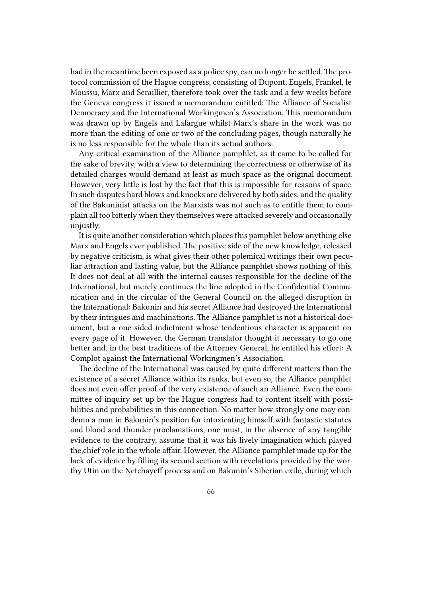had in the meantime been exposed as a police spy, can no longer be settled. The protocol commission of the Hague congress, consisting of Dupont, Engels, Frankel, le Moussu, Marx and Seraillier, therefore took over the task and a few weeks before the Geneva congress it issued a memorandum entitled: The Alliance of Socialist Democracy and the International Workingmen's Association. This memorandum was drawn up by Engels and Lafargue whilst Marx's share in the work was no more than the editing of one or two of the concluding pages, though naturally he is no less responsible for the whole than its actual authors.

Any critical examination of the Alliance pamphlet, as it came to be called for the sake of brevity, with a view to determining the correctness or otherwise of its detailed charges would demand at least as much space as the original document. However, very little is lost by the fact that this is impossible for reasons of space. In such disputes hard blows and knocks are delivered by both sides, and the quality of the Bakuninist attacks on the Marxists was not such as to entitle them to complain all too bitterly when they themselves were attacked severely and occasionally unjustly.

It is quite another consideration which places this pamphlet below anything else Marx and Engels ever published. The positive side of the new knowledge, released by negative criticism, is what gives their other polemical writings their own peculiar attraction and lasting value, but the Alliance pamphlet shows nothing of this. It does not deal at all with the internal causes responsible for the decline of the International, but merely continues the line adopted in the Confidential Communication and in the circular of the General Council on the alleged disruption in the International: Bakunin and his secret Alliance had destroyed the International by their intrigues and machinations. The Alliance pamphlet is not a historical document, but a one-sided indictment whose tendentious character is apparent on every page of it. However, the German translator thought it necessary to go one better and, in the best traditions of the Attorney General, he entitled his effort: A Complot against the International Workingmen's Association.

The decline of the International was caused by quite different matters than the existence of a secret Alliance within its ranks, but even so, the Alliance pamphlet does not even offer proof of the very existence of such an Alliance. Even the committee of inquiry set up by the Hague congress had to content itself with possibilities and probabilities in this connection. No matter how strongly one may condemn a man in Bakunin's position for intoxicating himself with fantastic statutes and blood and thunder proclamations, one must, in the absence of any tangible evidence to the contrary, assume that it was his lively imagination which played the,chief role in the whole affair. However, the Alliance pamphlet made up for the lack of evidence by filling its second section with revelations provided by the worthy Utin on the Netchayeff process and on Bakunin's Siberian exile, during which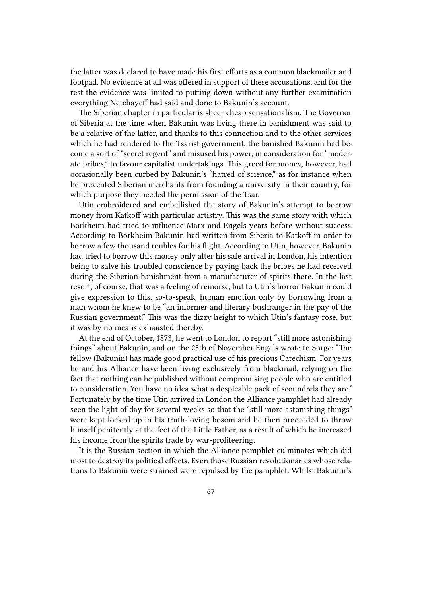the latter was declared to have made his first efforts as a common blackmailer and footpad. No evidence at all was offered in support of these accusations, and for the rest the evidence was limited to putting down without any further examination everything Netchayeff had said and done to Bakunin's account.

The Siberian chapter in particular is sheer cheap sensationalism. The Governor of Siberia at the time when Bakunin was living there in banishment was said to be a relative of the latter, and thanks to this connection and to the other services which he had rendered to the Tsarist government, the banished Bakunin had become a sort of "secret regent" and misused his power, in consideration for "moderate bribes," to favour capitalist undertakings. This greed for money, however, had occasionally been curbed by Bakunin's "hatred of science," as for instance when he prevented Siberian merchants from founding a university in their country, for which purpose they needed the permission of the Tsar.

Utin embroidered and embellished the story of Bakunin's attempt to borrow money from Katkoff with particular artistry. This was the same story with which Borkheim had tried to influence Marx and Engels years before without success. According to Borkheim Bakunin had written from Siberia to Katkoff in order to borrow a few thousand roubles for his flight. According to Utin, however, Bakunin had tried to borrow this money only after his safe arrival in London, his intention being to salve his troubled conscience by paying back the bribes he had received during the Siberian banishment from a manufacturer of spirits there. In the last resort, of course, that was a feeling of remorse, but to Utin's horror Bakunin could give expression to this, so-to-speak, human emotion only by borrowing from a man whom he knew to be "an informer and literary bushranger in the pay of the Russian government." This was the dizzy height to which Utin's fantasy rose, but it was by no means exhausted thereby.

At the end of October, 1873, he went to London to report "still more astonishing things" about Bakunin, and on the 25th of November Engels wrote to Sorge: "The fellow (Bakunin) has made good practical use of his precious Catechism. For years he and his Alliance have been living exclusively from blackmail, relying on the fact that nothing can be published without compromising people who are entitled to consideration. You have no idea what a despicable pack of scoundrels they are." Fortunately by the time Utin arrived in London the Alliance pamphlet had already seen the light of day for several weeks so that the "still more astonishing things" were kept locked up in his truth-loving bosom and he then proceeded to throw himself penitently at the feet of the Little Father, as a result of which he increased his income from the spirits trade by war-profiteering.

It is the Russian section in which the Alliance pamphlet culminates which did most to destroy its political effects. Even those Russian revolutionaries whose relations to Bakunin were strained were repulsed by the pamphlet. Whilst Bakunin's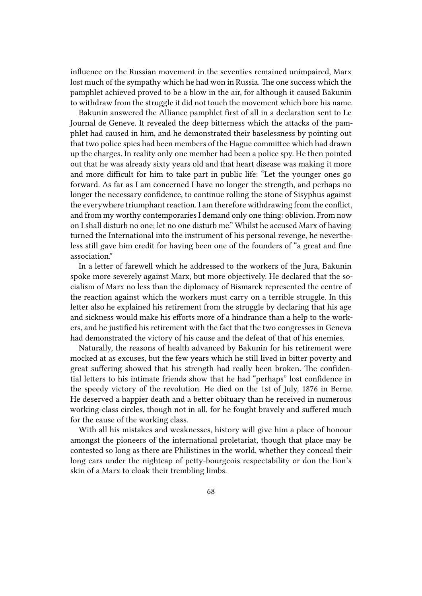influence on the Russian movement in the seventies remained unimpaired, Marx lost much of the sympathy which he had won in Russia. The one success which the pamphlet achieved proved to be a blow in the air, for although it caused Bakunin to withdraw from the struggle it did not touch the movement which bore his name.

Bakunin answered the Alliance pamphlet first of all in a declaration sent to Le Journal de Geneve. It revealed the deep bitterness which the attacks of the pamphlet had caused in him, and he demonstrated their baselessness by pointing out that two police spies had been members of the Hague committee which had drawn up the charges. In reality only one member had been a police spy. He then pointed out that he was already sixty years old and that heart disease was making it more and more difficult for him to take part in public life: "Let the younger ones go forward. As far as I am concerned I have no longer the strength, and perhaps no longer the necessary confidence, to continue rolling the stone of Sisyphus against the everywhere triumphant reaction. I am therefore withdrawing from the conflict, and from my worthy contemporaries I demand only one thing: oblivion. From now on I shall disturb no one; let no one disturb me." Whilst he accused Marx of having turned the International into the instrument of his personal revenge, he nevertheless still gave him credit for having been one of the founders of "a great and fine association."

In a letter of farewell which he addressed to the workers of the Jura, Bakunin spoke more severely against Marx, but more objectively. He declared that the socialism of Marx no less than the diplomacy of Bismarck represented the centre of the reaction against which the workers must carry on a terrible struggle. In this letter also he explained his retirement from the struggle by declaring that his age and sickness would make his efforts more of a hindrance than a help to the workers, and he justified his retirement with the fact that the two congresses in Geneva had demonstrated the victory of his cause and the defeat of that of his enemies.

Naturally, the reasons of health advanced by Bakunin for his retirement were mocked at as excuses, but the few years which he still lived in bitter poverty and great suffering showed that his strength had really been broken. The confidential letters to his intimate friends show that he had "perhaps" lost confidence in the speedy victory of the revolution. He died on the 1st of July, 1876 in Berne. He deserved a happier death and a better obituary than he received in numerous working-class circles, though not in all, for he fought bravely and suffered much for the cause of the working class.

With all his mistakes and weaknesses, history will give him a place of honour amongst the pioneers of the international proletariat, though that place may be contested so long as there are Philistines in the world, whether they conceal their long ears under the nightcap of petty-bourgeois respectability or don the lion's skin of a Marx to cloak their trembling limbs.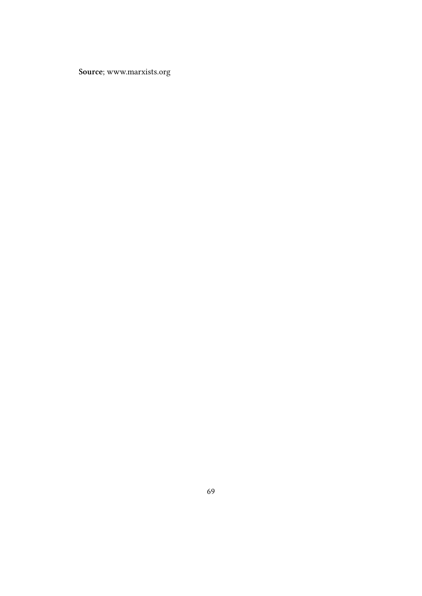### **Source**; www.marxists.org